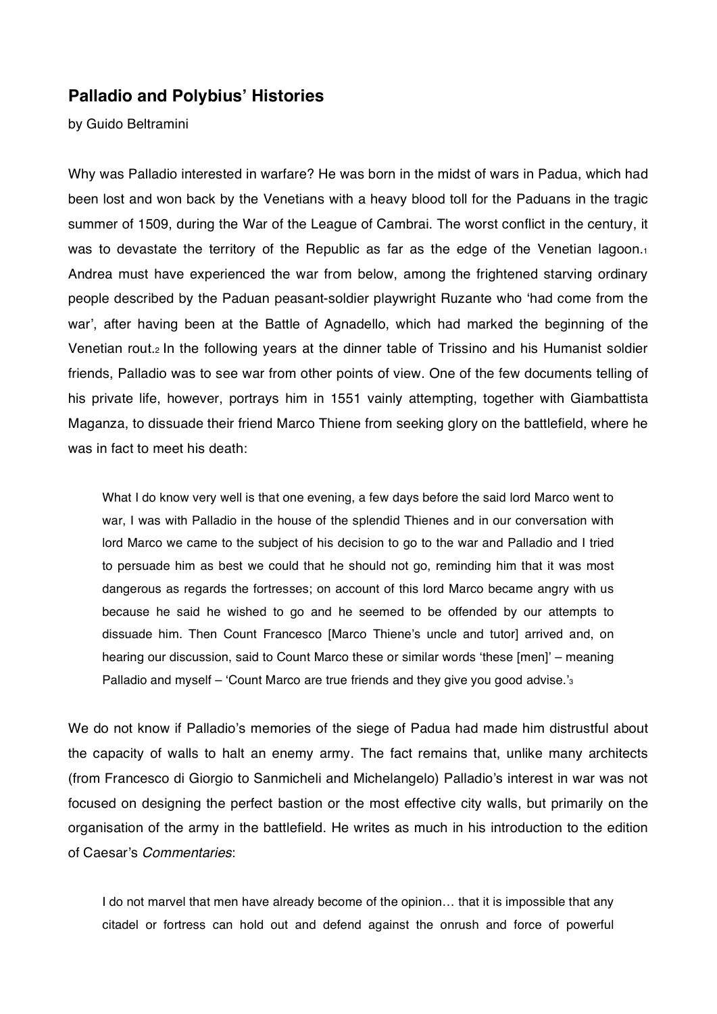# **Palladio and Polybius' Histories**

by Guido Beltramini

Why was Palladio interested in warfare? He was born in the midst of wars in Padua, which had been lost and won back by the Venetians with a heavy blood toll for the Paduans in the tragic summer of 1509, during the War of the League of Cambrai. The worst conflict in the century, it was to devastate the territory of the Republic as far as the edge of the Venetian lagoon.<sup>1</sup> Andrea must have experienced the war from below, among the frightened starving ordinary people described by the Paduan peasant-soldier playwright Ruzante who 'had come from the war', after having been at the Battle of Agnadello, which had marked the beginning of the Venetian rout.2 In the following years at the dinner table of Trissino and his Humanist soldier friends, Palladio was to see war from other points of view. One of the few documents telling of his private life, however, portrays him in 1551 vainly attempting, together with Giambattista Maganza, to dissuade their friend Marco Thiene from seeking glory on the battlefield, where he was in fact to meet his death:

What I do know very well is that one evening, a few days before the said lord Marco went to war, I was with Palladio in the house of the splendid Thienes and in our conversation with lord Marco we came to the subject of his decision to go to the war and Palladio and I tried to persuade him as best we could that he should not go, reminding him that it was most dangerous as regards the fortresses; on account of this lord Marco became angry with us because he said he wished to go and he seemed to be offended by our attempts to dissuade him. Then Count Francesco [Marco Thiene's uncle and tutor] arrived and, on hearing our discussion, said to Count Marco these or similar words 'these [men]' – meaning Palladio and myself – 'Count Marco are true friends and they give you good advise.'s

We do not know if Palladio's memories of the siege of Padua had made him distrustful about the capacity of walls to halt an enemy army. The fact remains that, unlike many architects (from Francesco di Giorgio to Sanmicheli and Michelangelo) Palladio's interest in war was not focused on designing the perfect bastion or the most effective city walls, but primarily on the organisation of the army in the battlefield. He writes as much in his introduction to the edition of Caesar's *Commentaries*:

I do not marvel that men have already become of the opinion... that it is impossible that any citadel or fortress can hold out and defend against the onrush and force of powerful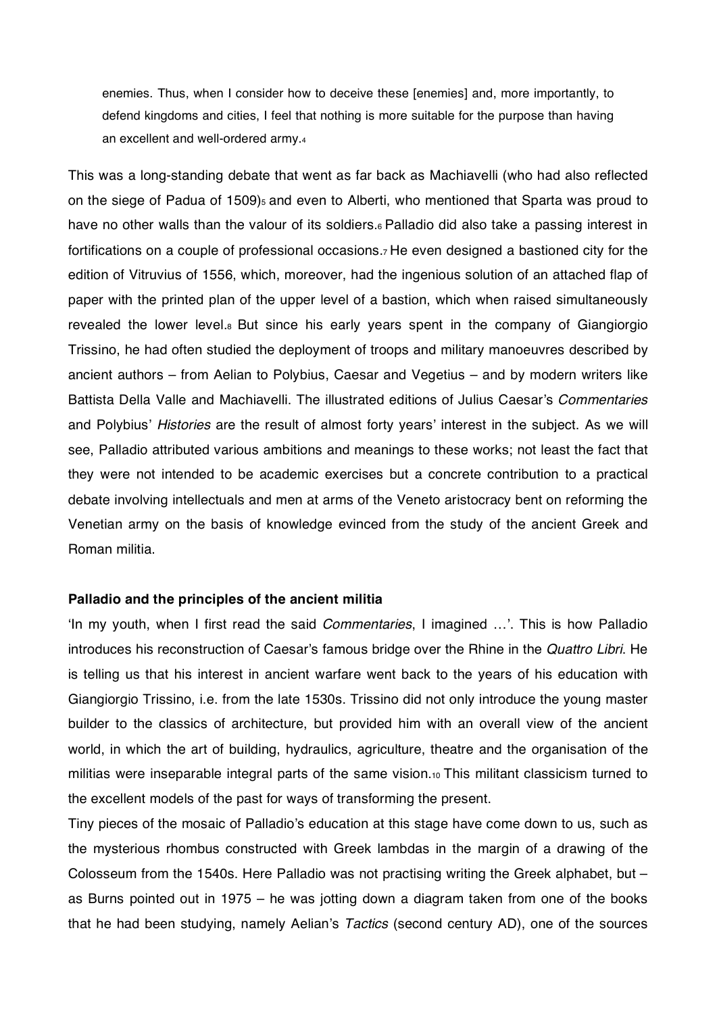enemies. Thus, when I consider how to deceive these [enemies] and, more importantly, to defend kingdoms and cities, I feel that nothing is more suitable for the purpose than having an excellent and well-ordered army.4

This was a long-standing debate that went as far back as Machiavelli (who had also reflected on the siege of Padua of 1509)<sub>5</sub> and even to Alberti, who mentioned that Sparta was proud to have no other walls than the valour of its soldiers.<sup>6</sup> Palladio did also take a passing interest in fortifications on a couple of professional occasions.7 He even designed a bastioned city for the edition of Vitruvius of 1556, which, moreover, had the ingenious solution of an attached flap of paper with the printed plan of the upper level of a bastion, which when raised simultaneously revealed the lower level.<sup>8</sup> But since his early years spent in the company of Giangiorgio Trissino, he had often studied the deployment of troops and military manoeuvres described by ancient authors – from Aelian to Polybius, Caesar and Vegetius – and by modern writers like Battista Della Valle and Machiavelli. The illustrated editions of Julius Caesar's Commentaries and Polybius' Histories are the result of almost forty years' interest in the subject. As we will see, Palladio attributed various ambitions and meanings to these works; not least the fact that they were not intended to be academic exercises but a concrete contribution to a practical debate involving intellectuals and men at arms of the Veneto aristocracy bent on reforming the Venetian army on the basis of knowledge evinced from the study of the ancient Greek and Roman militia.

### **Palladio and the principles of the ancient militia**

In my youth, when I first read the said *Commentaries*, I imagined ...'. This is how Palladio introduces his reconstruction of Caesar's famous bridge over the Rhine in the *Quattro Libri*. He is telling us that his interest in ancient warfare went back to the years of his education with Giangiorgio Trissino, i.e. from the late 1530s. Trissino did not only introduce the young master builder to the classics of architecture, but provided him with an overall view of the ancient world, in which the art of building, hydraulics, agriculture, theatre and the organisation of the militias were inseparable integral parts of the same vision.10 This militant classicism turned to the excellent models of the past for ways of transforming the present.

Tiny pieces of the mosaic of Palladio's education at this stage have come down to us, such as the mysterious rhombus constructed with Greek lambdas in the margin of a drawing of the Colosseum from the 1540s. Here Palladio was not practising writing the Greek alphabet, but – as Burns pointed out in 1975 – he was jotting down a diagram taken from one of the books that he had been studying, namely Aelian's *Tactics* (second century AD), one of the sources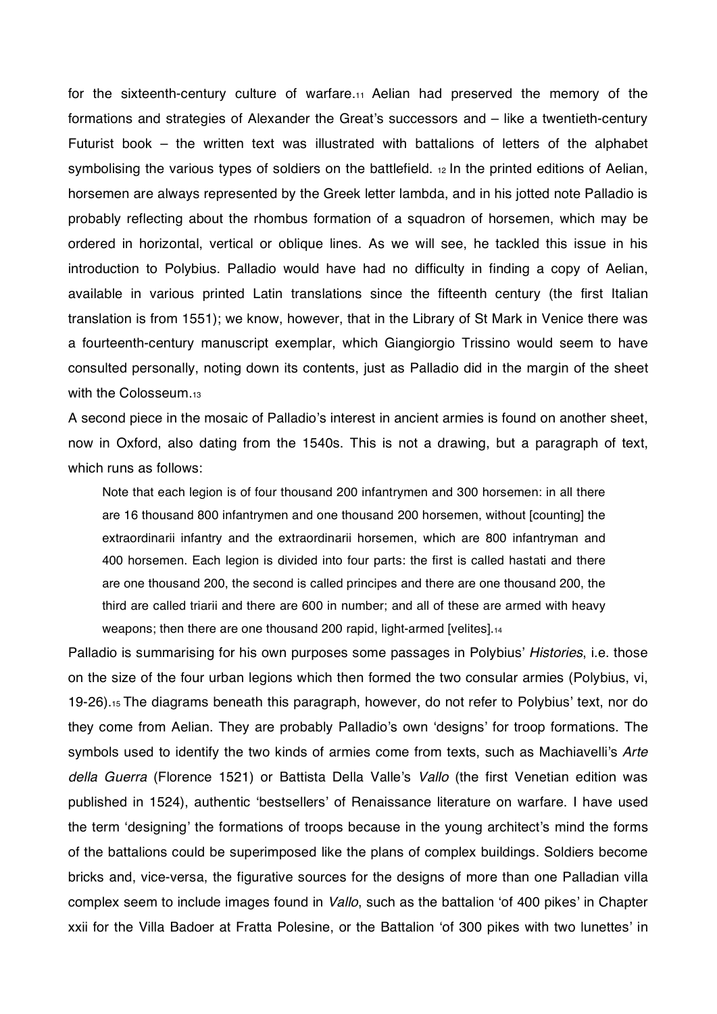for the sixteenth-century culture of warfare.11 Aelian had preserved the memory of the formations and strategies of Alexander the Great's successors and – like a twentieth-century Futurist book – the written text was illustrated with battalions of letters of the alphabet symbolising the various types of soldiers on the battlefield. 12 In the printed editions of Aelian, horsemen are always represented by the Greek letter lambda, and in his jotted note Palladio is probably reflecting about the rhombus formation of a squadron of horsemen, which may be ordered in horizontal, vertical or oblique lines. As we will see, he tackled this issue in his introduction to Polybius. Palladio would have had no difficulty in finding a copy of Aelian, available in various printed Latin translations since the fifteenth century (the first Italian translation is from 1551); we know, however, that in the Library of St Mark in Venice there was a fourteenth-century manuscript exemplar, which Giangiorgio Trissino would seem to have consulted personally, noting down its contents, just as Palladio did in the margin of the sheet with the Colosseum.13

A second piece in the mosaic of Palladio's interest in ancient armies is found on another sheet, now in Oxford, also dating from the 1540s. This is not a drawing, but a paragraph of text, which runs as follows:

Note that each legion is of four thousand 200 infantrymen and 300 horsemen: in all there are 16 thousand 800 infantrymen and one thousand 200 horsemen, without [counting] the extraordinarii infantry and the extraordinarii horsemen, which are 800 infantryman and 400 horsemen. Each legion is divided into four parts: the first is called hastati and there are one thousand 200, the second is called principes and there are one thousand 200, the third are called triarii and there are 600 in number; and all of these are armed with heavy weapons; then there are one thousand 200 rapid, light-armed [velites].14

Palladio is summarising for his own purposes some passages in Polybius' Histories, i.e. those on the size of the four urban legions which then formed the two consular armies (Polybius, vi, 19-26).<sup>15</sup> The diagrams beneath this paragraph, however, do not refer to Polybius' text, nor do they come from Aelian. They are probably Palladio's own 'designs' for troop formations. The symbols used to identify the two kinds of armies come from texts, such as Machiavelli's Arte della Guerra (Florence 1521) or Battista Della Valle's Vallo (the first Venetian edition was published in 1524), authentic 'bestsellers' of Renaissance literature on warfare. I have used the term 'designing' the formations of troops because in the young architect's mind the forms of the battalions could be superimposed like the plans of complex buildings. Soldiers become bricks and, vice-versa, the figurative sources for the designs of more than one Palladian villa complex seem to include images found in *Vallo*, such as the battalion 'of 400 pikes' in Chapter xxii for the Villa Badoer at Fratta Polesine, or the Battalion 'of 300 pikes with two lunettes' in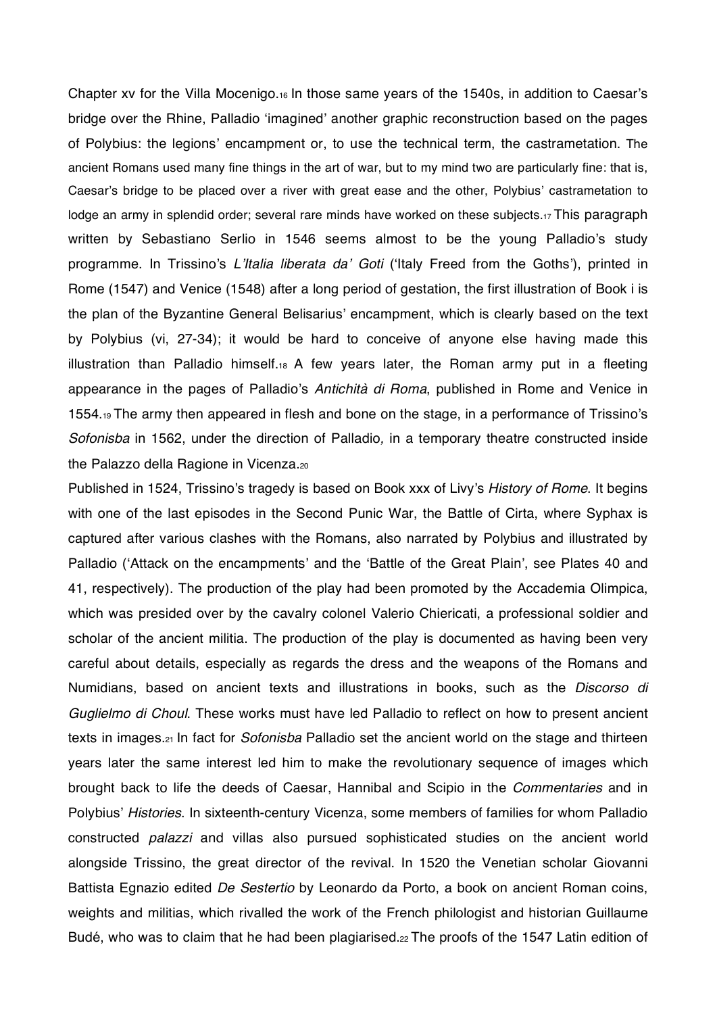Chapter xv for the Villa Mocenigo. $16$  In those same years of the 1540s, in addition to Caesar's bridge over the Rhine, Palladio 'imagined' another graphic reconstruction based on the pages of Polybius: the legions' encampment or, to use the technical term, the castrametation. The ancient Romans used many fine things in the art of war, but to my mind two are particularly fine: that is, Caesar's bridge to be placed over a river with great ease and the other, Polybius' castrametation to lodge an army in splendid order; several rare minds have worked on these subjects.17 This paragraph written by Sebastiano Serlio in 1546 seems almost to be the young Palladio's study programme. In Trissino's L'Italia liberata da' Goti ('Italy Freed from the Goths'), printed in Rome (1547) and Venice (1548) after a long period of gestation, the first illustration of Book i is the plan of the Byzantine General Belisarius' encampment, which is clearly based on the text by Polybius (vi, 27-34); it would be hard to conceive of anyone else having made this illustration than Palladio himself.<sub>18</sub> A few years later, the Roman army put in a fleeting appearance in the pages of Palladio's Antichità di Roma, published in Rome and Venice in 1554.19 The army then appeared in flesh and bone on the stage, in a performance of Trissino's *Sofonisba* in 1562, under the direction of Palladio*,* in a temporary theatre constructed inside the Palazzo della Ragione in Vicenza.20

Published in 1524, Trissino's tragedy is based on Book xxx of Livy's History of Rome. It begins with one of the last episodes in the Second Punic War, the Battle of Cirta, where Syphax is captured after various clashes with the Romans, also narrated by Polybius and illustrated by Palladio ('Attack on the encampments' and the 'Battle of the Great Plain', see Plates 40 and 41, respectively). The production of the play had been promoted by the Accademia Olimpica, which was presided over by the cavalry colonel Valerio Chiericati, a professional soldier and scholar of the ancient militia. The production of the play is documented as having been very careful about details, especially as regards the dress and the weapons of the Romans and Numidians, based on ancient texts and illustrations in books, such as the *Discorso di Guglielmo di Choul*. These works must have led Palladio to reflect on how to present ancient texts in images.21 In fact for *Sofonisba* Palladio set the ancient world on the stage and thirteen years later the same interest led him to make the revolutionary sequence of images which brought back to life the deeds of Caesar, Hannibal and Scipio in the *Commentaries* and in Polybius' Histories. In sixteenth-century Vicenza, some members of families for whom Palladio constructed *palazzi* and villas also pursued sophisticated studies on the ancient world alongside Trissino, the great director of the revival. In 1520 the Venetian scholar Giovanni Battista Egnazio edited *De Sestertio* by Leonardo da Porto, a book on ancient Roman coins, weights and militias, which rivalled the work of the French philologist and historian Guillaume Budé, who was to claim that he had been plagiarised.<sup>22</sup> The proofs of the 1547 Latin edition of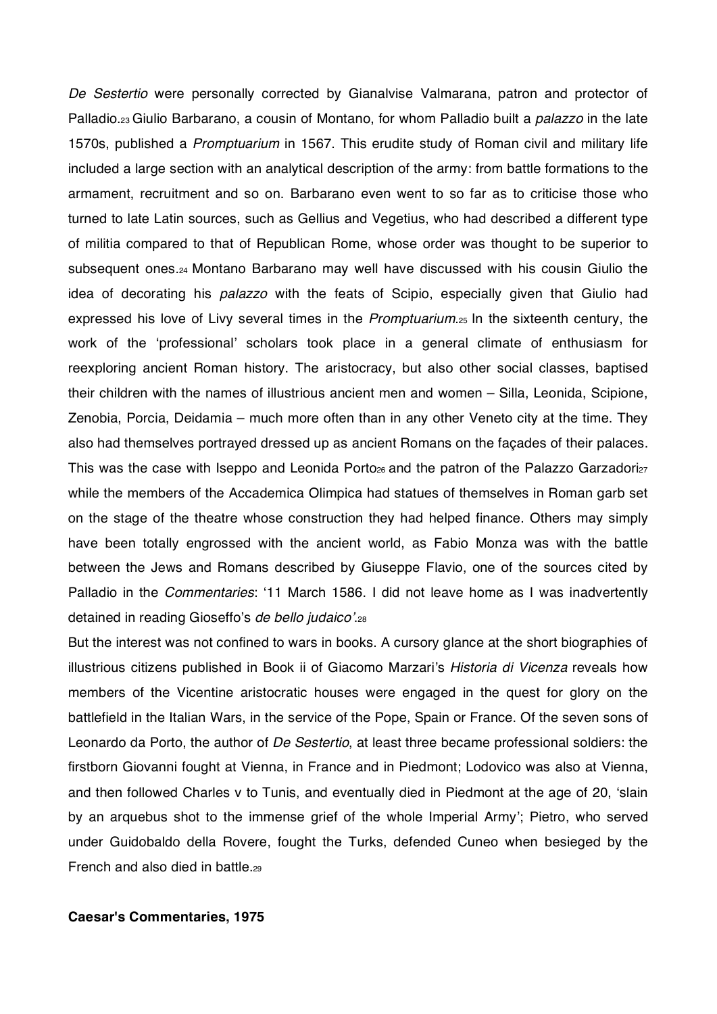*De Sestertio* were personally corrected by Gianalvise Valmarana, patron and protector of Palladio.23 Giulio Barbarano, a cousin of Montano, for whom Palladio built a *palazzo* in the late 1570s, published a *Promptuarium* in 1567. This erudite study of Roman civil and military life included a large section with an analytical description of the army: from battle formations to the armament, recruitment and so on. Barbarano even went to so far as to criticise those who turned to late Latin sources, such as Gellius and Vegetius, who had described a different type of militia compared to that of Republican Rome, whose order was thought to be superior to subsequent ones.24 Montano Barbarano may well have discussed with his cousin Giulio the idea of decorating his *palazzo* with the feats of Scipio, especially given that Giulio had expressed his love of Livy several times in the *Promptuarium*.25 In the sixteenth century, the work of the 'professional' scholars took place in a general climate of enthusiasm for reexploring ancient Roman history. The aristocracy, but also other social classes, baptised their children with the names of illustrious ancient men and women – Silla, Leonida, Scipione, Zenobia, Porcia, Deidamia – much more often than in any other Veneto city at the time. They also had themselves portrayed dressed up as ancient Romans on the façades of their palaces. This was the case with Iseppo and Leonida Porto<sub>26</sub> and the patron of the Palazzo Garzadori<sub>27</sub> while the members of the Accademica Olimpica had statues of themselves in Roman garb set on the stage of the theatre whose construction they had helped finance. Others may simply have been totally engrossed with the ancient world, as Fabio Monza was with the battle between the Jews and Romans described by Giuseppe Flavio, one of the sources cited by Palladio in the *Commentaries*: 11 March 1586. I did not leave home as I was inadvertently detained in reading Gioseffo's de bello judaico'.<sub>28</sub>

But the interest was not confined to wars in books. A cursory glance at the short biographies of illustrious citizens published in Book ii of Giacomo Marzari's Historia di Vicenza reveals how members of the Vicentine aristocratic houses were engaged in the quest for glory on the battlefield in the Italian Wars, in the service of the Pope, Spain or France. Of the seven sons of Leonardo da Porto, the author of *De Sestertio*, at least three became professional soldiers: the firstborn Giovanni fought at Vienna, in France and in Piedmont; Lodovico was also at Vienna, and then followed Charles v to Tunis, and eventually died in Piedmont at the age of 20, 'slain by an arquebus shot to the immense grief of the whole Imperial Army'; Pietro, who served under Guidobaldo della Rovere, fought the Turks, defended Cuneo when besieged by the French and also died in battle 29

### **Caesar's Commentaries, 1975**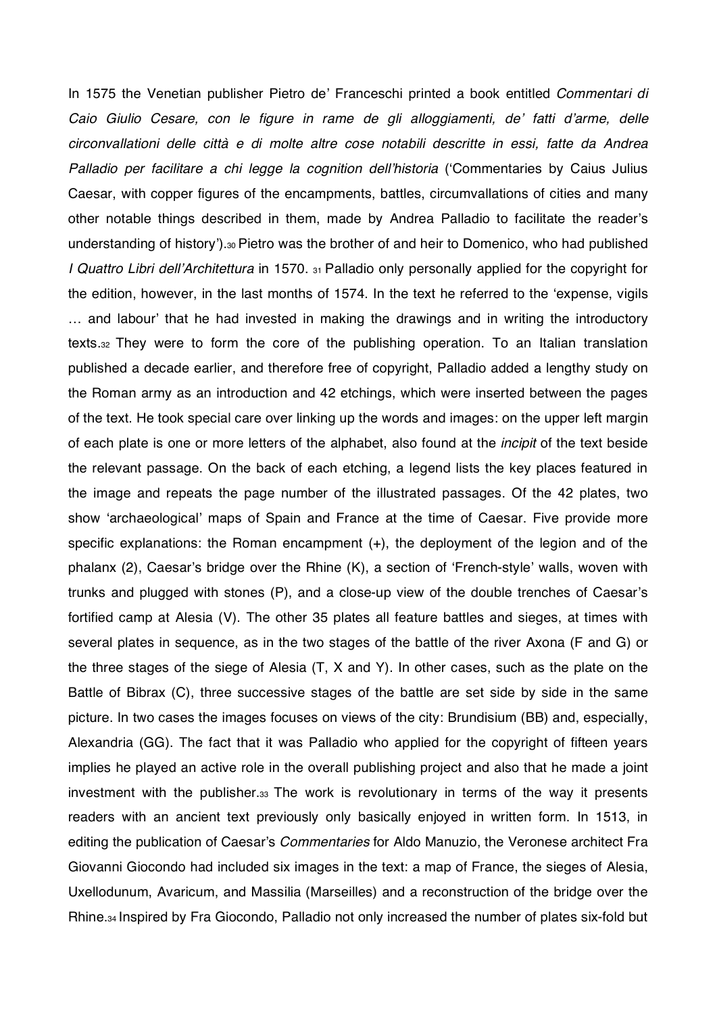In 1575 the Venetian publisher Pietro de' Franceschi printed a book entitled *Commentari di Caio Giulio Cesare, con le figure in rame de gli alloggiamenti, de fatti darme, delle circonvallationi delle città e di molte altre cose notabili descritte in essi, fatte da Andrea Palladio per facilitare a chi legge la cognition dellhistoria* (Commentaries by Caius Julius Caesar, with copper figures of the encampments, battles, circumvallations of cities and many other notable things described in them, made by Andrea Palladio to facilitate the reader's understanding of history').30 Pietro was the brother of and heir to Domenico, who had published *I Quattro Libri dellArchitettura* in 1570. 31 Palladio only personally applied for the copyright for the edition, however, in the last months of 1574. In the text he referred to the 'expense, vigils ... and labour' that he had invested in making the drawings and in writing the introductory texts.32 They were to form the core of the publishing operation. To an Italian translation published a decade earlier, and therefore free of copyright, Palladio added a lengthy study on the Roman army as an introduction and 42 etchings, which were inserted between the pages of the text. He took special care over linking up the words and images: on the upper left margin of each plate is one or more letters of the alphabet, also found at the *incipit* of the text beside the relevant passage. On the back of each etching, a legend lists the key places featured in the image and repeats the page number of the illustrated passages. Of the 42 plates, two show 'archaeological' maps of Spain and France at the time of Caesar. Five provide more specific explanations: the Roman encampment (+), the deployment of the legion and of the phalanx (2), Caesar's bridge over the Rhine (K), a section of 'French-style' walls, woven with trunks and plugged with stones (P), and a close-up view of the double trenches of Caesar's fortified camp at Alesia (V). The other 35 plates all feature battles and sieges, at times with several plates in sequence, as in the two stages of the battle of the river Axona (F and G) or the three stages of the siege of Alesia (T, X and Y). In other cases, such as the plate on the Battle of Bibrax (C), three successive stages of the battle are set side by side in the same picture. In two cases the images focuses on views of the city: Brundisium (BB) and, especially, Alexandria (GG). The fact that it was Palladio who applied for the copyright of fifteen years implies he played an active role in the overall publishing project and also that he made a joint investment with the publisher.33 The work is revolutionary in terms of the way it presents readers with an ancient text previously only basically enjoyed in written form. In 1513, in editing the publication of Caesar's *Commentaries* for Aldo Manuzio, the Veronese architect Fra Giovanni Giocondo had included six images in the text: a map of France, the sieges of Alesia, Uxellodunum, Avaricum, and Massilia (Marseilles) and a reconstruction of the bridge over the Rhine.34 Inspired by Fra Giocondo, Palladio not only increased the number of plates six-fold but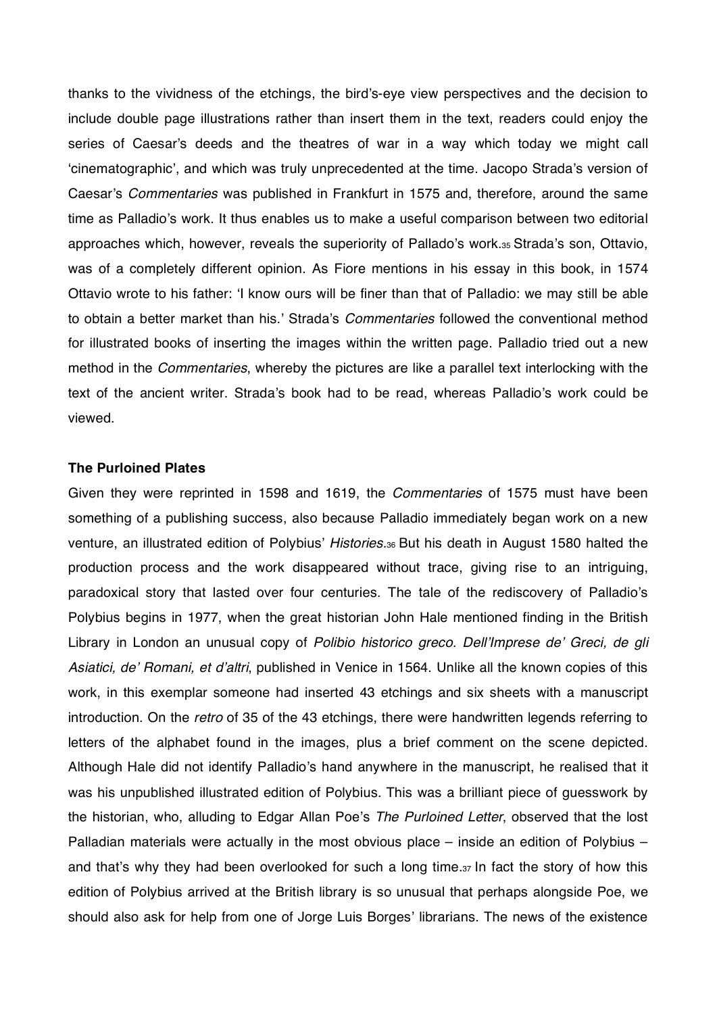thanks to the vividness of the etchings, the bird's-eye view perspectives and the decision to include double page illustrations rather than insert them in the text, readers could enjoy the series of Caesar's deeds and the theatres of war in a way which today we might call 'cinematographic', and which was truly unprecedented at the time. Jacopo Strada's version of Caesar's *Commentaries* was published in Frankfurt in 1575 and, therefore, around the same time as Palladio's work. It thus enables us to make a useful comparison between two editorial approaches which, however, reveals the superiority of Pallado's work.35 Strada's son, Ottavio, was of a completely different opinion. As Fiore mentions in his essay in this book, in 1574 Ottavio wrote to his father: I know ours will be finer than that of Palladio: we may still be able to obtain a better market than his.' Strada's *Commentaries* followed the conventional method for illustrated books of inserting the images within the written page. Palladio tried out a new method in the *Commentaries*, whereby the pictures are like a parallel text interlocking with the text of the ancient writer. Strada's book had to be read, whereas Palladio's work could be viewed.

## **The Purloined Plates**

Given they were reprinted in 1598 and 1619, the *Commentaries* of 1575 must have been something of a publishing success, also because Palladio immediately began work on a new venture, an illustrated edition of Polybius' Histories.<sup>36</sup> But his death in August 1580 halted the production process and the work disappeared without trace, giving rise to an intriguing, paradoxical story that lasted over four centuries. The tale of the rediscovery of Palladio's Polybius begins in 1977, when the great historian John Hale mentioned finding in the British Library in London an unusual copy of *Polibio historico greco. DellImprese de Greci, de gli Asiatici, de Romani, et daltri*, published in Venice in 1564. Unlike all the known copies of this work, in this exemplar someone had inserted 43 etchings and six sheets with a manuscript introduction. On the *retro* of 35 of the 43 etchings, there were handwritten legends referring to letters of the alphabet found in the images, plus a brief comment on the scene depicted. Although Hale did not identify Palladio's hand anywhere in the manuscript, he realised that it was his unpublished illustrated edition of Polybius. This was a brilliant piece of guesswork by the historian, who, alluding to Edgar Allan Poe's The Purloined Letter, observed that the lost Palladian materials were actually in the most obvious place – inside an edition of Polybius – and that's why they had been overlooked for such a long time.37 In fact the story of how this edition of Polybius arrived at the British library is so unusual that perhaps alongside Poe, we should also ask for help from one of Jorge Luis Borges' librarians. The news of the existence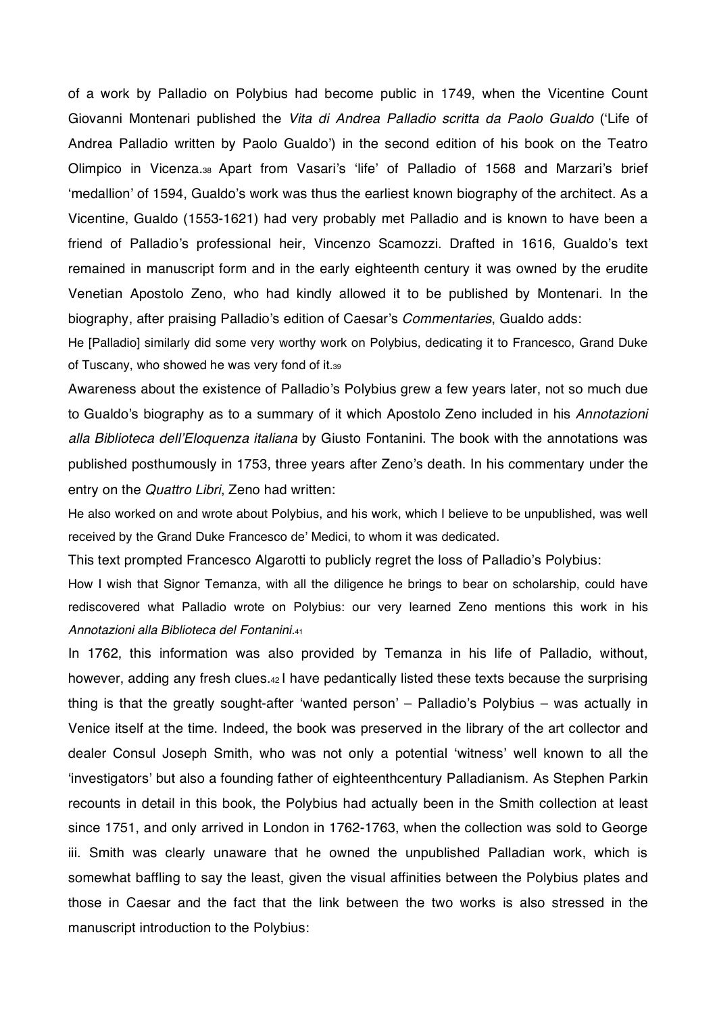of a work by Palladio on Polybius had become public in 1749, when the Vicentine Count Giovanni Montenari published the *Vita di Andrea Palladio scritta da Paolo Gualdo* (Life of Andrea Palladio written by Paolo Gualdo') in the second edition of his book on the Teatro Olimpico in Vicenza.<sub>38</sub> Apart from Vasari's 'life' of Palladio of 1568 and Marzari's brief 'medallion' of 1594, Gualdo's work was thus the earliest known biography of the architect. As a Vicentine, Gualdo (1553-1621) had very probably met Palladio and is known to have been a friend of Palladio's professional heir, Vincenzo Scamozzi. Drafted in 1616, Gualdo's text remained in manuscript form and in the early eighteenth century it was owned by the erudite Venetian Apostolo Zeno, who had kindly allowed it to be published by Montenari. In the biography, after praising Palladio's edition of Caesar's *Commentaries*, Gualdo adds:

He [Palladio] similarly did some very worthy work on Polybius, dedicating it to Francesco, Grand Duke of Tuscany, who showed he was very fond of it.39

Awareness about the existence of Palladio's Polybius grew a few years later, not so much due to Gualdo's biography as to a summary of it which Apostolo Zeno included in his Annotazioni *alla Biblioteca dellEloquenza italiana* by Giusto Fontanini. The book with the annotations was published posthumously in 1753, three years after Zeno's death. In his commentary under the entry on the *Quattro Libri*, Zeno had written:

He also worked on and wrote about Polybius, and his work, which I believe to be unpublished, was well received by the Grand Duke Francesco de' Medici, to whom it was dedicated.

This text prompted Francesco Algarotti to publicly regret the loss of Palladio's Polybius:

How I wish that Signor Temanza, with all the diligence he brings to bear on scholarship, could have rediscovered what Palladio wrote on Polybius: our very learned Zeno mentions this work in his *Annotazioni alla Biblioteca del Fontanini.*<sup>41</sup>

In 1762, this information was also provided by Temanza in his life of Palladio, without, however, adding any fresh clues.42 I have pedantically listed these texts because the surprising thing is that the greatly sought-after 'wanted person' – Palladio's Polybius – was actually in Venice itself at the time. Indeed, the book was preserved in the library of the art collector and dealer Consul Joseph Smith, who was not only a potential 'witness' well known to all the 'investigators' but also a founding father of eighteenthcentury Palladianism. As Stephen Parkin recounts in detail in this book, the Polybius had actually been in the Smith collection at least since 1751, and only arrived in London in 1762-1763, when the collection was sold to George iii. Smith was clearly unaware that he owned the unpublished Palladian work, which is somewhat baffling to say the least, given the visual affinities between the Polybius plates and those in Caesar and the fact that the link between the two works is also stressed in the manuscript introduction to the Polybius: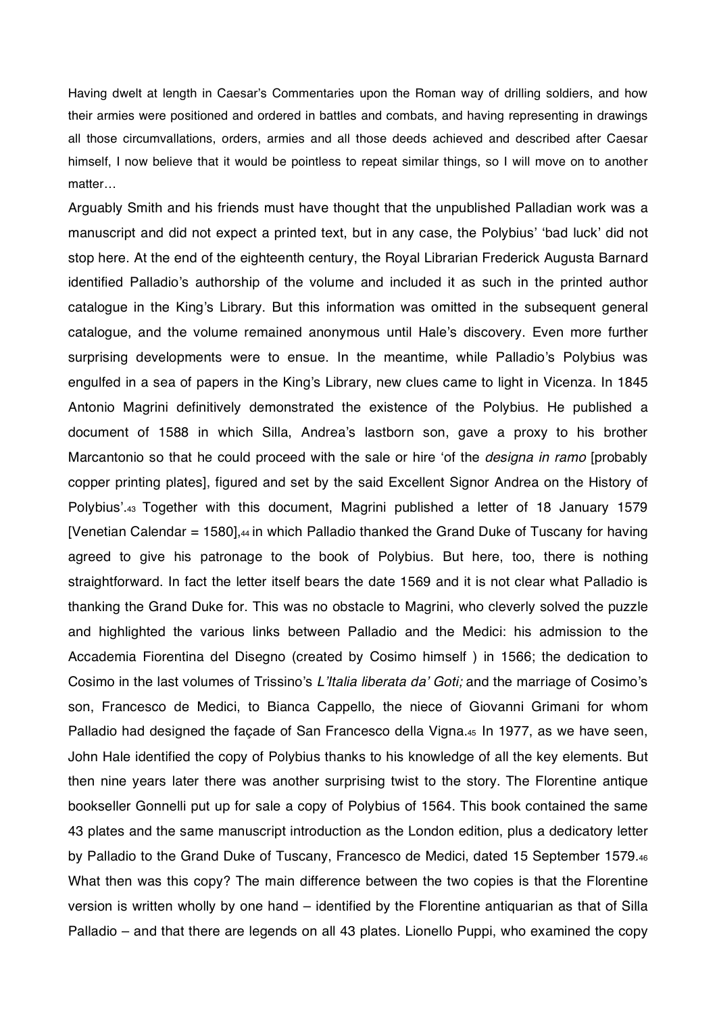Having dwelt at length in Caesar's Commentaries upon the Roman way of drilling soldiers, and how their armies were positioned and ordered in battles and combats, and having representing in drawings all those circumvallations, orders, armies and all those deeds achieved and described after Caesar himself, I now believe that it would be pointless to repeat similar things, so I will move on to another matter…

Arguably Smith and his friends must have thought that the unpublished Palladian work was a manuscript and did not expect a printed text, but in any case, the Polybius' 'bad luck' did not stop here. At the end of the eighteenth century, the Royal Librarian Frederick Augusta Barnard identified Palladio's authorship of the volume and included it as such in the printed author catalogue in the King's Library. But this information was omitted in the subsequent general catalogue, and the volume remained anonymous until Hale's discovery. Even more further surprising developments were to ensue. In the meantime, while Palladio's Polybius was engulfed in a sea of papers in the King's Library, new clues came to light in Vicenza. In 1845 Antonio Magrini definitively demonstrated the existence of the Polybius. He published a document of 1588 in which Silla, Andrea's lastborn son, gave a proxy to his brother Marcantonio so that he could proceed with the sale or hire 'of the *designa in ramo* [probably copper printing plates], figured and set by the said Excellent Signor Andrea on the History of Polybius'.43 Together with this document, Magrini published a letter of 18 January 1579 [Venetian Calendar = 1580], $44$  in which Palladio thanked the Grand Duke of Tuscany for having agreed to give his patronage to the book of Polybius. But here, too, there is nothing straightforward. In fact the letter itself bears the date 1569 and it is not clear what Palladio is thanking the Grand Duke for. This was no obstacle to Magrini, who cleverly solved the puzzle and highlighted the various links between Palladio and the Medici: his admission to the Accademia Fiorentina del Disegno (created by Cosimo himself ) in 1566; the dedication to Cosimo in the last volumes of Trissino's L'Italia liberata da' Goti; and the marriage of Cosimo's son, Francesco de Medici, to Bianca Cappello, the niece of Giovanni Grimani for whom Palladio had designed the façade of San Francesco della Vigna.45 In 1977, as we have seen, John Hale identified the copy of Polybius thanks to his knowledge of all the key elements. But then nine years later there was another surprising twist to the story. The Florentine antique bookseller Gonnelli put up for sale a copy of Polybius of 1564. This book contained the same 43 plates and the same manuscript introduction as the London edition, plus a dedicatory letter by Palladio to the Grand Duke of Tuscany, Francesco de Medici, dated 15 September 1579.46 What then was this copy? The main difference between the two copies is that the Florentine version is written wholly by one hand – identified by the Florentine antiquarian as that of Silla Palladio – and that there are legends on all 43 plates. Lionello Puppi, who examined the copy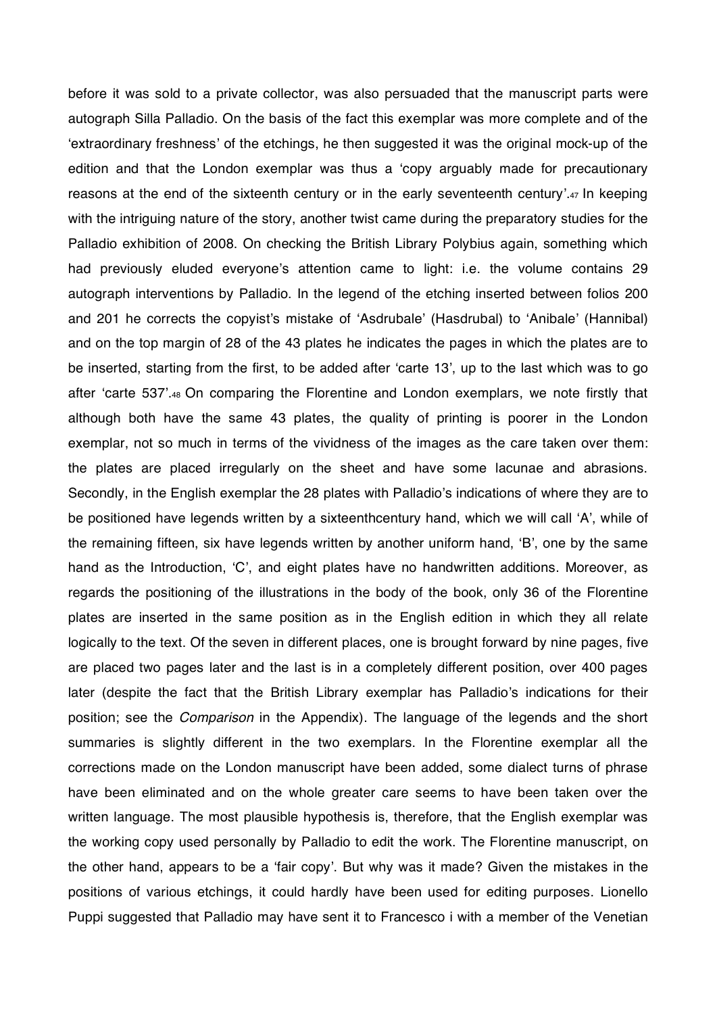before it was sold to a private collector, was also persuaded that the manuscript parts were autograph Silla Palladio. On the basis of the fact this exemplar was more complete and of the 'extraordinary freshness' of the etchings, he then suggested it was the original mock-up of the edition and that the London exemplar was thus a 'copy arguably made for precautionary reasons at the end of the sixteenth century or in the early seventeenth century'.47 In keeping with the intriguing nature of the story, another twist came during the preparatory studies for the Palladio exhibition of 2008. On checking the British Library Polybius again, something which had previously eluded everyone's attention came to light: i.e. the volume contains 29 autograph interventions by Palladio. In the legend of the etching inserted between folios 200 and 201 he corrects the copyist's mistake of 'Asdrubale' (Hasdrubal) to 'Anibale' (Hannibal) and on the top margin of 28 of the 43 plates he indicates the pages in which the plates are to be inserted, starting from the first, to be added after 'carte 13', up to the last which was to go after 'carte 537'.48 On comparing the Florentine and London exemplars, we note firstly that although both have the same 43 plates, the quality of printing is poorer in the London exemplar, not so much in terms of the vividness of the images as the care taken over them: the plates are placed irregularly on the sheet and have some lacunae and abrasions. Secondly, in the English exemplar the 28 plates with Palladio's indications of where they are to be positioned have legends written by a sixteenthcentury hand, which we will call 'A', while of the remaining fifteen, six have legends written by another uniform hand, 'B', one by the same hand as the Introduction, 'C', and eight plates have no handwritten additions. Moreover, as regards the positioning of the illustrations in the body of the book, only 36 of the Florentine plates are inserted in the same position as in the English edition in which they all relate logically to the text. Of the seven in different places, one is brought forward by nine pages, five are placed two pages later and the last is in a completely different position, over 400 pages later (despite the fact that the British Library exemplar has Palladio's indications for their position; see the *Comparison* in the Appendix). The language of the legends and the short summaries is slightly different in the two exemplars. In the Florentine exemplar all the corrections made on the London manuscript have been added, some dialect turns of phrase have been eliminated and on the whole greater care seems to have been taken over the written language. The most plausible hypothesis is, therefore, that the English exemplar was the working copy used personally by Palladio to edit the work. The Florentine manuscript, on the other hand, appears to be a 'fair copy'. But why was it made? Given the mistakes in the positions of various etchings, it could hardly have been used for editing purposes. Lionello Puppi suggested that Palladio may have sent it to Francesco i with a member of the Venetian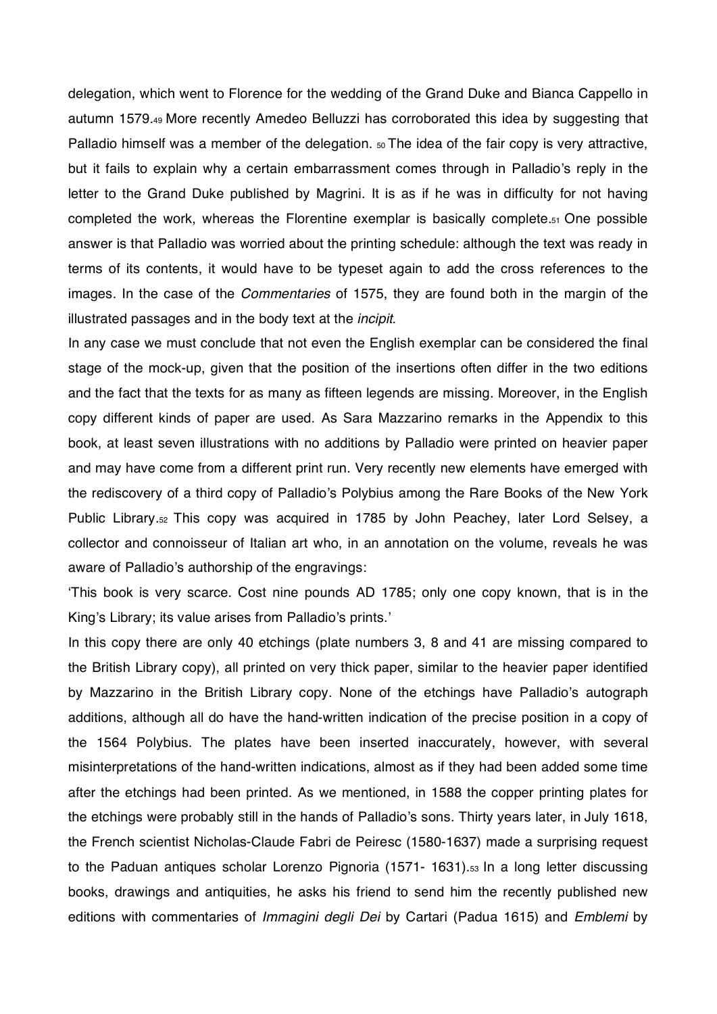delegation, which went to Florence for the wedding of the Grand Duke and Bianca Cappello in autumn 1579.49 More recently Amedeo Belluzzi has corroborated this idea by suggesting that Palladio himself was a member of the delegation.  $50$  The idea of the fair copy is very attractive, but it fails to explain why a certain embarrassment comes through in Palladio's reply in the letter to the Grand Duke published by Magrini. It is as if he was in difficulty for not having completed the work, whereas the Florentine exemplar is basically complete.51 One possible answer is that Palladio was worried about the printing schedule: although the text was ready in terms of its contents, it would have to be typeset again to add the cross references to the images. In the case of the *Commentaries* of 1575, they are found both in the margin of the illustrated passages and in the body text at the *incipit*.

In any case we must conclude that not even the English exemplar can be considered the final stage of the mock-up, given that the position of the insertions often differ in the two editions and the fact that the texts for as many as fifteen legends are missing. Moreover, in the English copy different kinds of paper are used. As Sara Mazzarino remarks in the Appendix to this book, at least seven illustrations with no additions by Palladio were printed on heavier paper and may have come from a different print run. Very recently new elements have emerged with the rediscovery of a third copy of Palladio's Polybius among the Rare Books of the New York Public Library.52 This copy was acquired in 1785 by John Peachey, later Lord Selsey, a collector and connoisseur of Italian art who, in an annotation on the volume, reveals he was aware of Palladio's authorship of the engravings:

This book is very scarce. Cost nine pounds AD 1785; only one copy known, that is in the King's Library; its value arises from Palladio's prints.'

In this copy there are only 40 etchings (plate numbers 3, 8 and 41 are missing compared to the British Library copy), all printed on very thick paper, similar to the heavier paper identified by Mazzarino in the British Library copy. None of the etchings have Palladio's autograph additions, although all do have the hand-written indication of the precise position in a copy of the 1564 Polybius. The plates have been inserted inaccurately, however, with several misinterpretations of the hand-written indications, almost as if they had been added some time after the etchings had been printed. As we mentioned, in 1588 the copper printing plates for the etchings were probably still in the hands of Palladio's sons. Thirty years later, in July 1618, the French scientist Nicholas-Claude Fabri de Peiresc (1580-1637) made a surprising request to the Paduan antiques scholar Lorenzo Pignoria (1571- 1631).<sub>53</sub> In a long letter discussing books, drawings and antiquities, he asks his friend to send him the recently published new editions with commentaries of *Immagini degli Dei* by Cartari (Padua 1615) and *Emblemi* by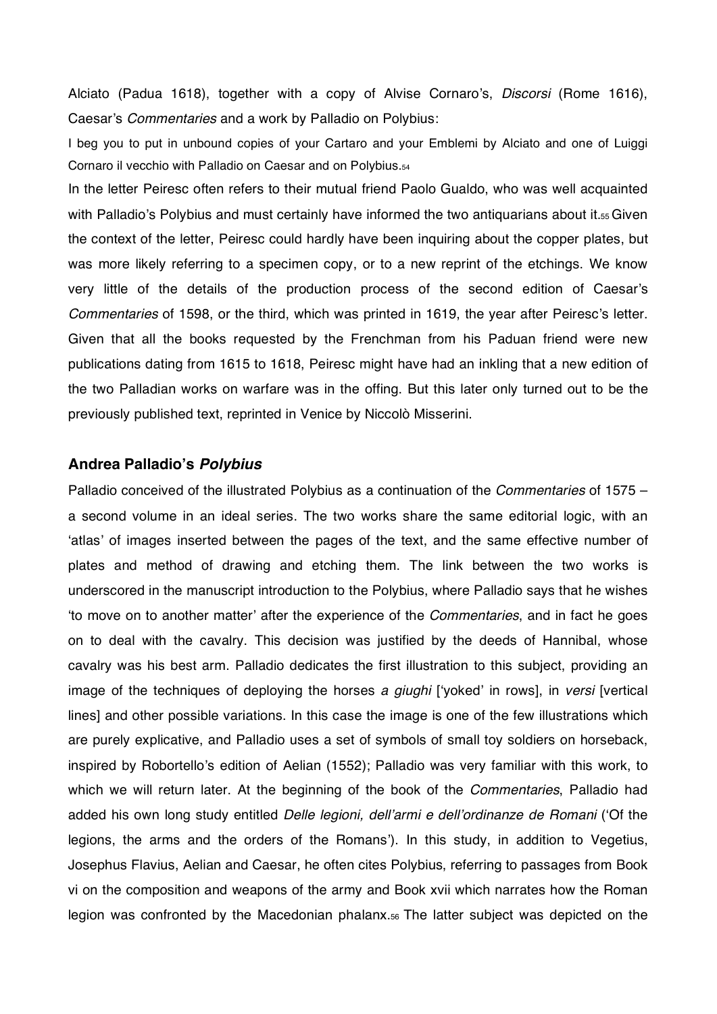Alciato (Padua 1618), together with a copy of Alvise Cornaro's, *Discorsi* (Rome 1616), Caesar's *Commentaries* and a work by Palladio on Polybius:

I beg you to put in unbound copies of your Cartaro and your Emblemi by Alciato and one of Luiggi Cornaro il vecchio with Palladio on Caesar and on Polybius.54

In the letter Peiresc often refers to their mutual friend Paolo Gualdo, who was well acquainted with Palladio's Polybius and must certainly have informed the two antiquarians about it.55 Given the context of the letter, Peiresc could hardly have been inquiring about the copper plates, but was more likely referring to a specimen copy, or to a new reprint of the etchings. We know very little of the details of the production process of the second edition of Caesar's Commentaries of 1598, or the third, which was printed in 1619, the year after Peiresc's letter. Given that all the books requested by the Frenchman from his Paduan friend were new publications dating from 1615 to 1618, Peiresc might have had an inkling that a new edition of the two Palladian works on warfare was in the offing. But this later only turned out to be the previously published text, reprinted in Venice by Niccolò Misserini.

## **Andrea Palladios** *Polybius*

Palladio conceived of the illustrated Polybius as a continuation of the *Commentaries* of 1575 – a second volume in an ideal series. The two works share the same editorial logic, with an 'atlas' of images inserted between the pages of the text, and the same effective number of plates and method of drawing and etching them. The link between the two works is underscored in the manuscript introduction to the Polybius, where Palladio says that he wishes to move on to another matter' after the experience of the *Commentaries*, and in fact he goes on to deal with the cavalry. This decision was justified by the deeds of Hannibal, whose cavalry was his best arm. Palladio dedicates the first illustration to this subject, providing an image of the techniques of deploying the horses a giughi ['yoked' in rows], in *versi* [vertical lines] and other possible variations. In this case the image is one of the few illustrations which are purely explicative, and Palladio uses a set of symbols of small toy soldiers on horseback, inspired by Robortello's edition of Aelian (1552); Palladio was very familiar with this work, to which we will return later. At the beginning of the book of the *Commentaries*, Palladio had added his own long study entitled *Delle legioni, dell'armi e dell'ordinanze de Romani* ('Of the legions, the arms and the orders of the Romans'). In this study, in addition to Vegetius, Josephus Flavius, Aelian and Caesar, he often cites Polybius, referring to passages from Book vi on the composition and weapons of the army and Book xvii which narrates how the Roman legion was confronted by the Macedonian phalanx.56 The latter subject was depicted on the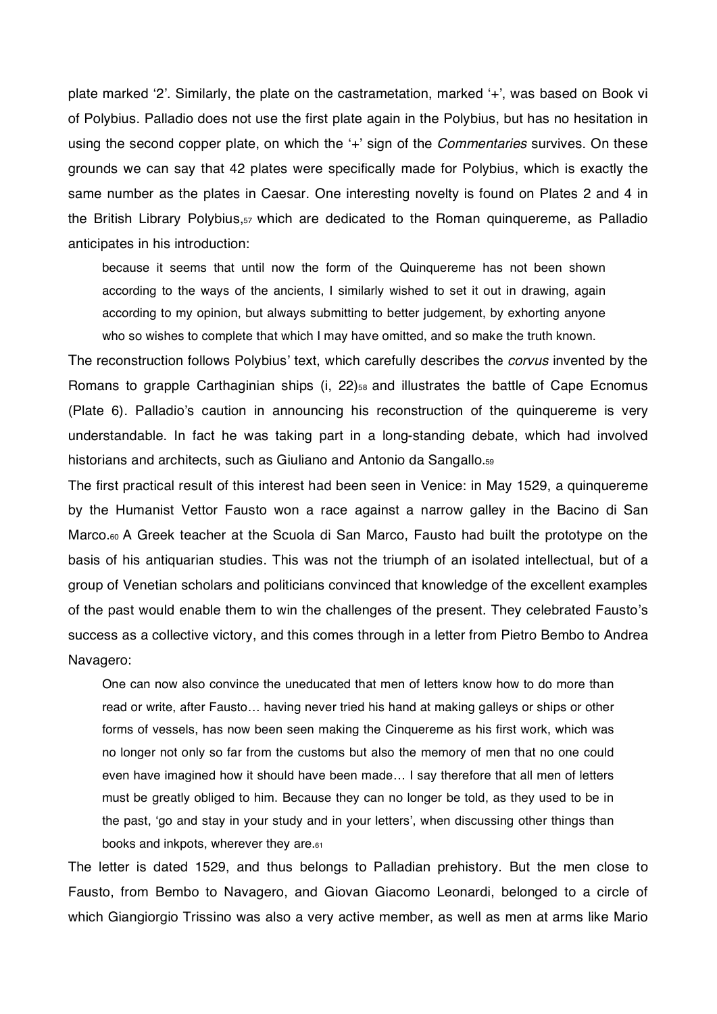plate marked '2'. Similarly, the plate on the castrametation, marked '+', was based on Book vi of Polybius. Palladio does not use the first plate again in the Polybius, but has no hesitation in using the second copper plate, on which the '+' sign of the *Commentaries* survives. On these grounds we can say that 42 plates were specifically made for Polybius, which is exactly the same number as the plates in Caesar. One interesting novelty is found on Plates 2 and 4 in the British Library Polybius,57 which are dedicated to the Roman quinquereme, as Palladio anticipates in his introduction:

because it seems that until now the form of the Quinquereme has not been shown according to the ways of the ancients, I similarly wished to set it out in drawing, again according to my opinion, but always submitting to better judgement, by exhorting anyone who so wishes to complete that which I may have omitted, and so make the truth known.

The reconstruction follows Polybius' text, which carefully describes the *corvus* invented by the Romans to grapple Carthaginian ships (i, 22)<sub>58</sub> and illustrates the battle of Cape Ecnomus (Plate 6). Palladio's caution in announcing his reconstruction of the quinquereme is very understandable. In fact he was taking part in a long-standing debate, which had involved historians and architects, such as Giuliano and Antonio da Sangallo.59

The first practical result of this interest had been seen in Venice: in May 1529, a quinquereme by the Humanist Vettor Fausto won a race against a narrow galley in the Bacino di San Marco.<sub>60</sub> A Greek teacher at the Scuola di San Marco, Fausto had built the prototype on the basis of his antiquarian studies. This was not the triumph of an isolated intellectual, but of a group of Venetian scholars and politicians convinced that knowledge of the excellent examples of the past would enable them to win the challenges of the present. They celebrated Fausto's success as a collective victory, and this comes through in a letter from Pietro Bembo to Andrea Navagero:

One can now also convince the uneducated that men of letters know how to do more than read or write, after Fausto… having never tried his hand at making galleys or ships or other forms of vessels, has now been seen making the Cinquereme as his first work, which was no longer not only so far from the customs but also the memory of men that no one could even have imagined how it should have been made… I say therefore that all men of letters must be greatly obliged to him. Because they can no longer be told, as they used to be in the past, 'go and stay in your study and in your letters', when discussing other things than books and inkpots, wherever they are.61

The letter is dated 1529, and thus belongs to Palladian prehistory. But the men close to Fausto, from Bembo to Navagero, and Giovan Giacomo Leonardi, belonged to a circle of which Giangiorgio Trissino was also a very active member, as well as men at arms like Mario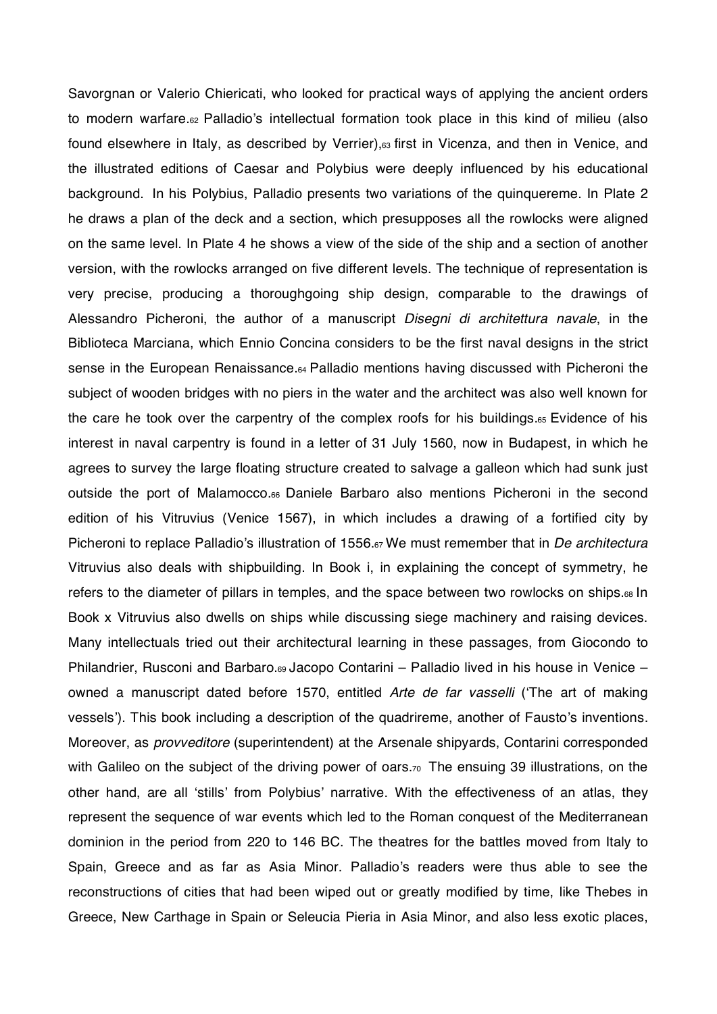Savorgnan or Valerio Chiericati, who looked for practical ways of applying the ancient orders to modern warfare.<sup>62</sup> Palladio's intellectual formation took place in this kind of milieu (also found elsewhere in Italy, as described by Verrier),<sup>63</sup> first in Vicenza, and then in Venice, and the illustrated editions of Caesar and Polybius were deeply influenced by his educational background. In his Polybius, Palladio presents two variations of the quinquereme. In Plate 2 he draws a plan of the deck and a section, which presupposes all the rowlocks were aligned on the same level. In Plate 4 he shows a view of the side of the ship and a section of another version, with the rowlocks arranged on five different levels. The technique of representation is very precise, producing a thoroughgoing ship design, comparable to the drawings of Alessandro Picheroni, the author of a manuscript *Disegni di architettura navale*, in the Biblioteca Marciana, which Ennio Concina considers to be the first naval designs in the strict sense in the European Renaissance.64 Palladio mentions having discussed with Picheroni the subject of wooden bridges with no piers in the water and the architect was also well known for the care he took over the carpentry of the complex roofs for his buildings.65 Evidence of his interest in naval carpentry is found in a letter of 31 July 1560, now in Budapest, in which he agrees to survey the large floating structure created to salvage a galleon which had sunk just outside the port of Malamocco.66 Daniele Barbaro also mentions Picheroni in the second edition of his Vitruvius (Venice 1567), in which includes a drawing of a fortified city by Picheroni to replace Palladio's illustration of 1556.<sub>67</sub> We must remember that in *De architectura* Vitruvius also deals with shipbuilding. In Book i, in explaining the concept of symmetry, he refers to the diameter of pillars in temples, and the space between two rowlocks on ships.<sup>68</sup> In Book x Vitruvius also dwells on ships while discussing siege machinery and raising devices. Many intellectuals tried out their architectural learning in these passages, from Giocondo to Philandrier, Rusconi and Barbaro.<sup>69</sup> Jacopo Contarini – Palladio lived in his house in Venice – owned a manuscript dated before 1570, entitled *Arte de far vasselli* (The art of making vessels'). This book including a description of the quadrireme, another of Fausto's inventions. Moreover, as *provveditore* (superintendent) at the Arsenale shipyards, Contarini corresponded with Galileo on the subject of the driving power of oars.<sub>70</sub> The ensuing 39 illustrations, on the other hand, are all 'stills' from Polybius' narrative. With the effectiveness of an atlas, they represent the sequence of war events which led to the Roman conquest of the Mediterranean dominion in the period from 220 to 146 BC. The theatres for the battles moved from Italy to Spain, Greece and as far as Asia Minor. Palladio's readers were thus able to see the reconstructions of cities that had been wiped out or greatly modified by time, like Thebes in Greece, New Carthage in Spain or Seleucia Pieria in Asia Minor, and also less exotic places,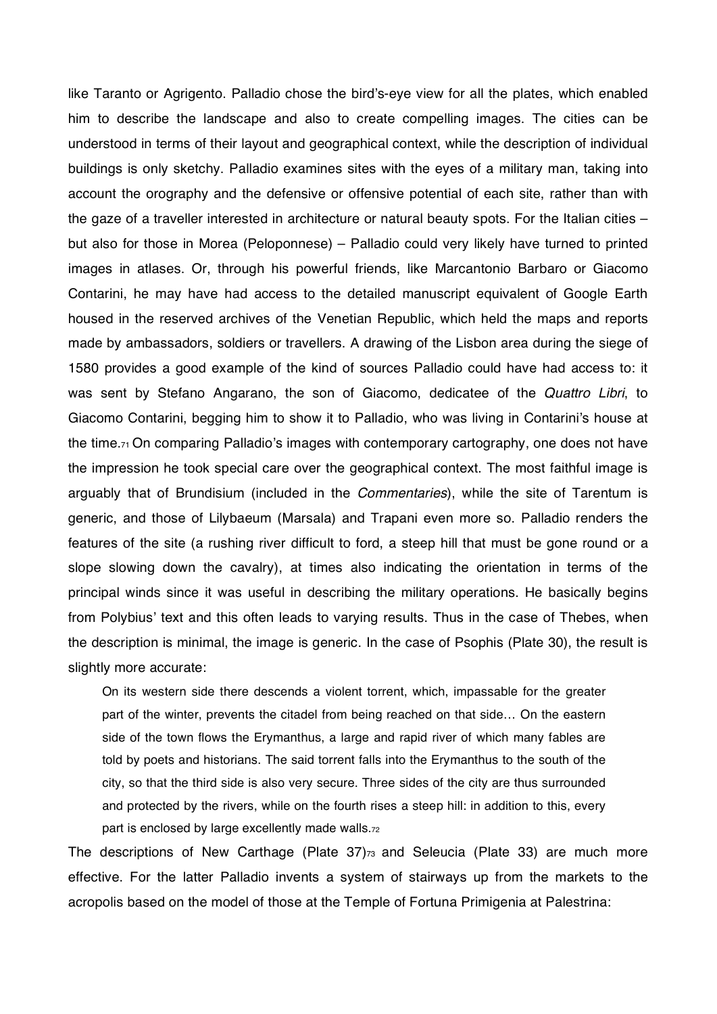like Taranto or Agrigento. Palladio chose the bird's-eye view for all the plates, which enabled him to describe the landscape and also to create compelling images. The cities can be understood in terms of their layout and geographical context, while the description of individual buildings is only sketchy. Palladio examines sites with the eyes of a military man, taking into account the orography and the defensive or offensive potential of each site, rather than with the gaze of a traveller interested in architecture or natural beauty spots. For the Italian cities – but also for those in Morea (Peloponnese) – Palladio could very likely have turned to printed images in atlases. Or, through his powerful friends, like Marcantonio Barbaro or Giacomo Contarini, he may have had access to the detailed manuscript equivalent of Google Earth housed in the reserved archives of the Venetian Republic, which held the maps and reports made by ambassadors, soldiers or travellers. A drawing of the Lisbon area during the siege of 1580 provides a good example of the kind of sources Palladio could have had access to: it was sent by Stefano Angarano, the son of Giacomo, dedicatee of the *Quattro Libri*, to Giacomo Contarini, begging him to show it to Palladio, who was living in Contarini's house at the time. $71$  On comparing Palladio's images with contemporary cartography, one does not have the impression he took special care over the geographical context. The most faithful image is arguably that of Brundisium (included in the *Commentaries*), while the site of Tarentum is generic, and those of Lilybaeum (Marsala) and Trapani even more so. Palladio renders the features of the site (a rushing river difficult to ford, a steep hill that must be gone round or a slope slowing down the cavalry), at times also indicating the orientation in terms of the principal winds since it was useful in describing the military operations. He basically begins from Polybius' text and this often leads to varying results. Thus in the case of Thebes, when the description is minimal, the image is generic. In the case of Psophis (Plate 30), the result is slightly more accurate:

On its western side there descends a violent torrent, which, impassable for the greater part of the winter, prevents the citadel from being reached on that side… On the eastern side of the town flows the Erymanthus, a large and rapid river of which many fables are told by poets and historians. The said torrent falls into the Erymanthus to the south of the city, so that the third side is also very secure. Three sides of the city are thus surrounded and protected by the rivers, while on the fourth rises a steep hill: in addition to this, every part is enclosed by large excellently made walls.72

The descriptions of New Carthage (Plate 37)<sub>73</sub> and Seleucia (Plate 33) are much more effective. For the latter Palladio invents a system of stairways up from the markets to the acropolis based on the model of those at the Temple of Fortuna Primigenia at Palestrina: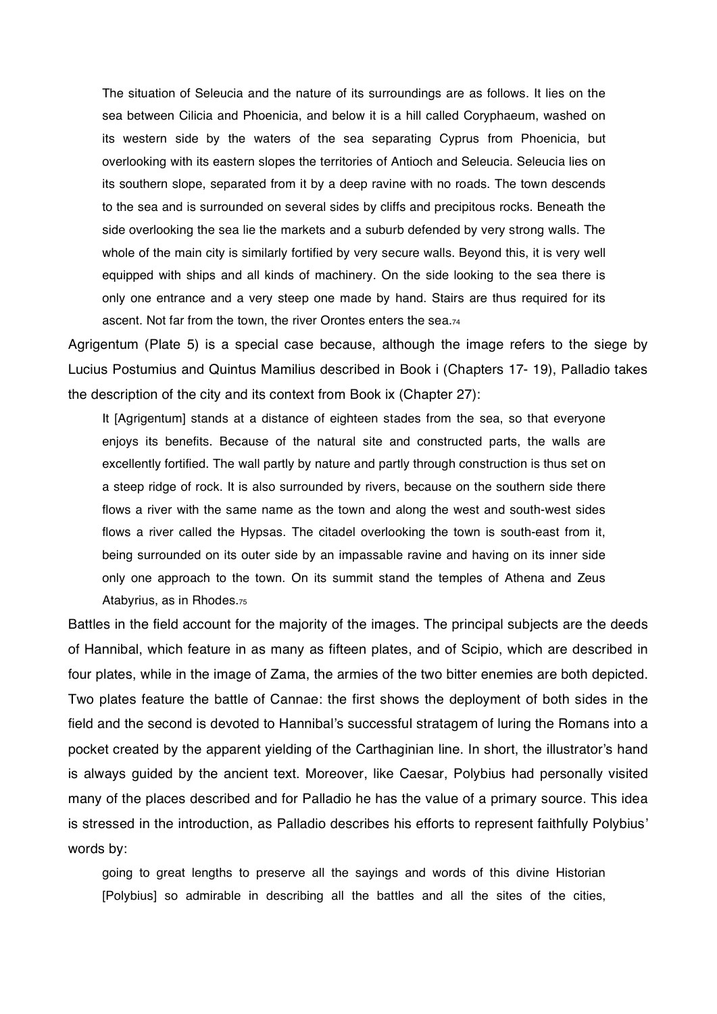The situation of Seleucia and the nature of its surroundings are as follows. It lies on the sea between Cilicia and Phoenicia, and below it is a hill called Coryphaeum, washed on its western side by the waters of the sea separating Cyprus from Phoenicia, but overlooking with its eastern slopes the territories of Antioch and Seleucia. Seleucia lies on its southern slope, separated from it by a deep ravine with no roads. The town descends to the sea and is surrounded on several sides by cliffs and precipitous rocks. Beneath the side overlooking the sea lie the markets and a suburb defended by very strong walls. The whole of the main city is similarly fortified by very secure walls. Beyond this, it is very well equipped with ships and all kinds of machinery. On the side looking to the sea there is only one entrance and a very steep one made by hand. Stairs are thus required for its ascent. Not far from the town, the river Orontes enters the sea.74

Agrigentum (Plate 5) is a special case because, although the image refers to the siege by Lucius Postumius and Quintus Mamilius described in Book i (Chapters 17- 19), Palladio takes the description of the city and its context from Book ix (Chapter 27):

It [Agrigentum] stands at a distance of eighteen stades from the sea, so that everyone enjoys its benefits. Because of the natural site and constructed parts, the walls are excellently fortified. The wall partly by nature and partly through construction is thus set on a steep ridge of rock. It is also surrounded by rivers, because on the southern side there flows a river with the same name as the town and along the west and south-west sides flows a river called the Hypsas. The citadel overlooking the town is south-east from it, being surrounded on its outer side by an impassable ravine and having on its inner side only one approach to the town. On its summit stand the temples of Athena and Zeus Atabyrius, as in Rhodes.75

Battles in the field account for the majority of the images. The principal subjects are the deeds of Hannibal, which feature in as many as fifteen plates, and of Scipio, which are described in four plates, while in the image of Zama, the armies of the two bitter enemies are both depicted. Two plates feature the battle of Cannae: the first shows the deployment of both sides in the field and the second is devoted to Hannibal's successful stratagem of luring the Romans into a pocket created by the apparent yielding of the Carthaginian line. In short, the illustrator's hand is always guided by the ancient text. Moreover, like Caesar, Polybius had personally visited many of the places described and for Palladio he has the value of a primary source. This idea is stressed in the introduction, as Palladio describes his efforts to represent faithfully Polybius words by:

going to great lengths to preserve all the sayings and words of this divine Historian [Polybius] so admirable in describing all the battles and all the sites of the cities,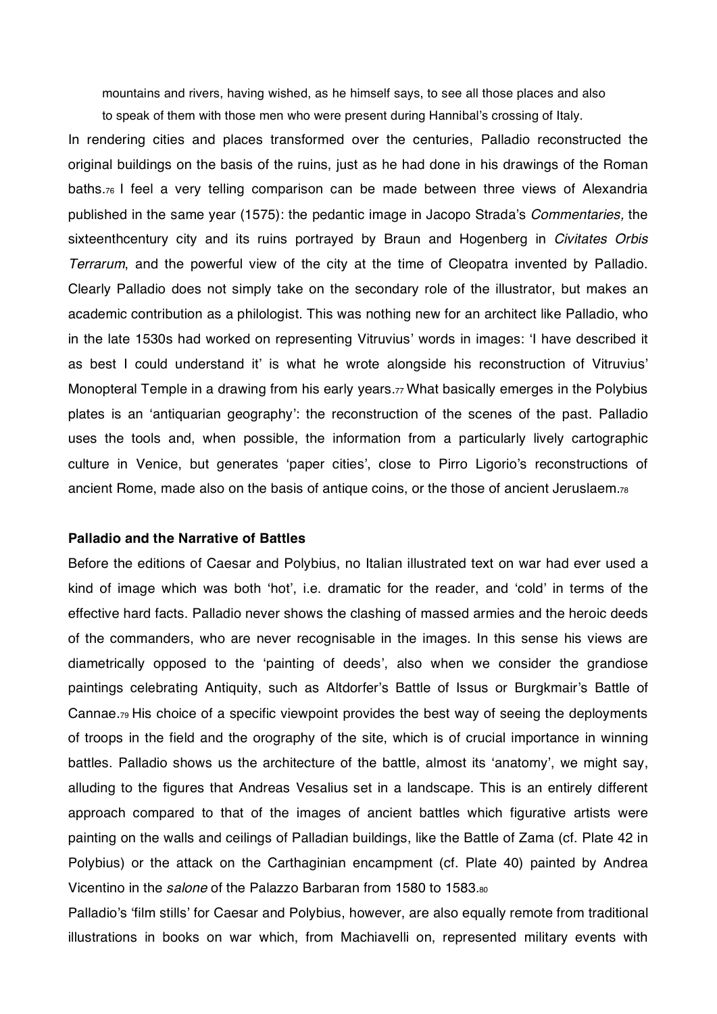mountains and rivers, having wished, as he himself says, to see all those places and also to speak of them with those men who were present during Hannibal's crossing of Italy.

In rendering cities and places transformed over the centuries, Palladio reconstructed the original buildings on the basis of the ruins, just as he had done in his drawings of the Roman baths.76 I feel a very telling comparison can be made between three views of Alexandria published in the same year (1575): the pedantic image in Jacopo Strada's *Commentaries*, the sixteenthcentury city and its ruins portrayed by Braun and Hogenberg in *Civitates Orbis Terrarum*, and the powerful view of the city at the time of Cleopatra invented by Palladio. Clearly Palladio does not simply take on the secondary role of the illustrator, but makes an academic contribution as a philologist. This was nothing new for an architect like Palladio, who in the late 1530s had worked on representing Vitruvius' words in images: 'I have described it as best I could understand it' is what he wrote alongside his reconstruction of Vitruvius' Monopteral Temple in a drawing from his early years.<sub>77</sub> What basically emerges in the Polybius plates is an 'antiquarian geography': the reconstruction of the scenes of the past. Palladio uses the tools and, when possible, the information from a particularly lively cartographic culture in Venice, but generates 'paper cities', close to Pirro Ligorio's reconstructions of ancient Rome, made also on the basis of antique coins, or the those of ancient Jeruslaem.78

### **Palladio and the Narrative of Battles**

Before the editions of Caesar and Polybius, no Italian illustrated text on war had ever used a kind of image which was both 'hot', i.e. dramatic for the reader, and 'cold' in terms of the effective hard facts. Palladio never shows the clashing of massed armies and the heroic deeds of the commanders, who are never recognisable in the images. In this sense his views are diametrically opposed to the 'painting of deeds', also when we consider the grandiose paintings celebrating Antiquity, such as Altdorfer's Battle of Issus or Burgkmair's Battle of Cannae.79 His choice of a specific viewpoint provides the best way of seeing the deployments of troops in the field and the orography of the site, which is of crucial importance in winning battles. Palladio shows us the architecture of the battle, almost its 'anatomy', we might say, alluding to the figures that Andreas Vesalius set in a landscape. This is an entirely different approach compared to that of the images of ancient battles which figurative artists were painting on the walls and ceilings of Palladian buildings, like the Battle of Zama (cf. Plate 42 in Polybius) or the attack on the Carthaginian encampment (cf. Plate 40) painted by Andrea Vicentino in the *salone* of the Palazzo Barbaran from 1580 to 1583.80

Palladio's 'film stills' for Caesar and Polybius, however, are also equally remote from traditional illustrations in books on war which, from Machiavelli on, represented military events with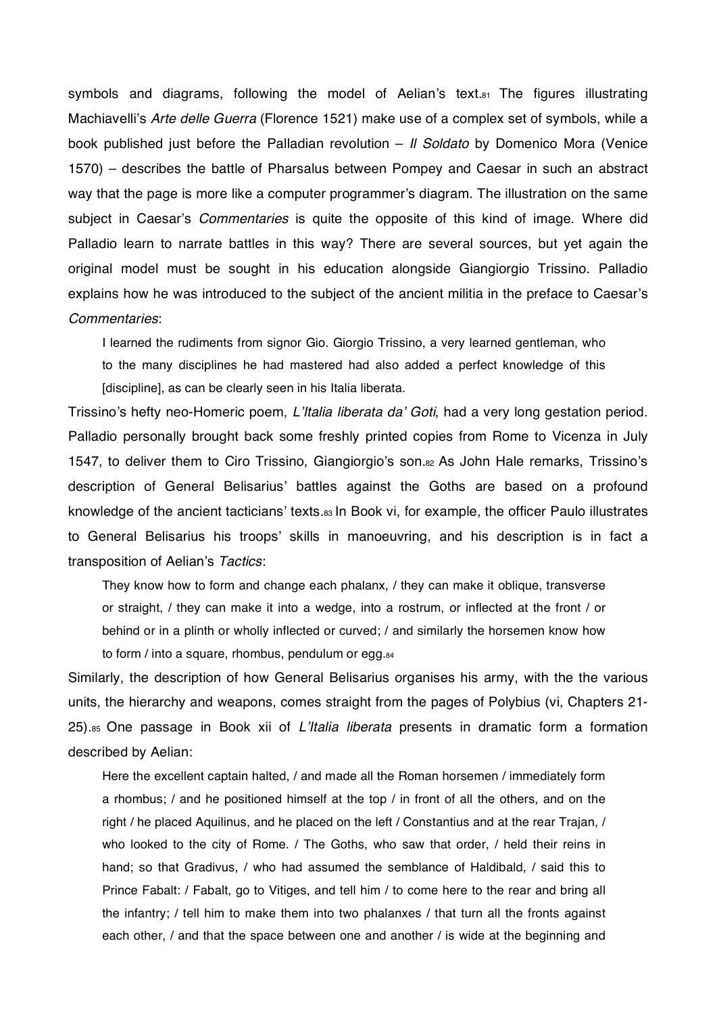symbols and diagrams, following the model of Aelian's text. $s<sub>1</sub>$  The figures illustrating Machiavellis *Arte delle Guerra* (Florence 1521) make use of a complex set of symbols, while a book published just before the Palladian revolution – *Il Soldato* by Domenico Mora (Venice 1570) – describes the battle of Pharsalus between Pompey and Caesar in such an abstract way that the page is more like a computer programmer's diagram. The illustration on the same subject in Caesar's *Commentaries* is quite the opposite of this kind of image. Where did Palladio learn to narrate battles in this way? There are several sources, but yet again the original model must be sought in his education alongside Giangiorgio Trissino. Palladio explains how he was introduced to the subject of the ancient militia in the preface to Caesar's *Commentaries*:

I learned the rudiments from signor Gio. Giorgio Trissino, a very learned gentleman, who to the many disciplines he had mastered had also added a perfect knowledge of this [discipline], as can be clearly seen in his Italia liberata.

Trissino's hefty neo-Homeric poem, *L'Italia liberata da' Goti*, had a very long gestation period. Palladio personally brought back some freshly printed copies from Rome to Vicenza in July 1547, to deliver them to Ciro Trissino, Giangiorgio's son.82 As John Hale remarks, Trissino's description of General Belisarius' battles against the Goths are based on a profound knowledge of the ancient tacticians' texts.83 In Book vi, for example, the officer Paulo illustrates to General Belisarius his troops' skills in manoeuvring, and his description is in fact a transposition of Aelian's Tactics:

They know how to form and change each phalanx, / they can make it oblique, transverse or straight, / they can make it into a wedge, into a rostrum, or inflected at the front / or behind or in a plinth or wholly inflected or curved; / and similarly the horsemen know how to form / into a square, rhombus, pendulum or egg.84

Similarly, the description of how General Belisarius organises his army, with the the various units, the hierarchy and weapons, comes straight from the pages of Polybius (vi, Chapters 21- 25).85 One passage in Book xii of *LItalia liberata* presents in dramatic form a formation described by Aelian:

Here the excellent captain halted, / and made all the Roman horsemen / immediately form a rhombus; / and he positioned himself at the top / in front of all the others, and on the right / he placed Aquilinus, and he placed on the left / Constantius and at the rear Trajan, / who looked to the city of Rome. / The Goths, who saw that order, / held their reins in hand; so that Gradivus, / who had assumed the semblance of Haldibald, / said this to Prince Fabalt: / Fabalt, go to Vitiges, and tell him / to come here to the rear and bring all the infantry; / tell him to make them into two phalanxes / that turn all the fronts against each other, / and that the space between one and another / is wide at the beginning and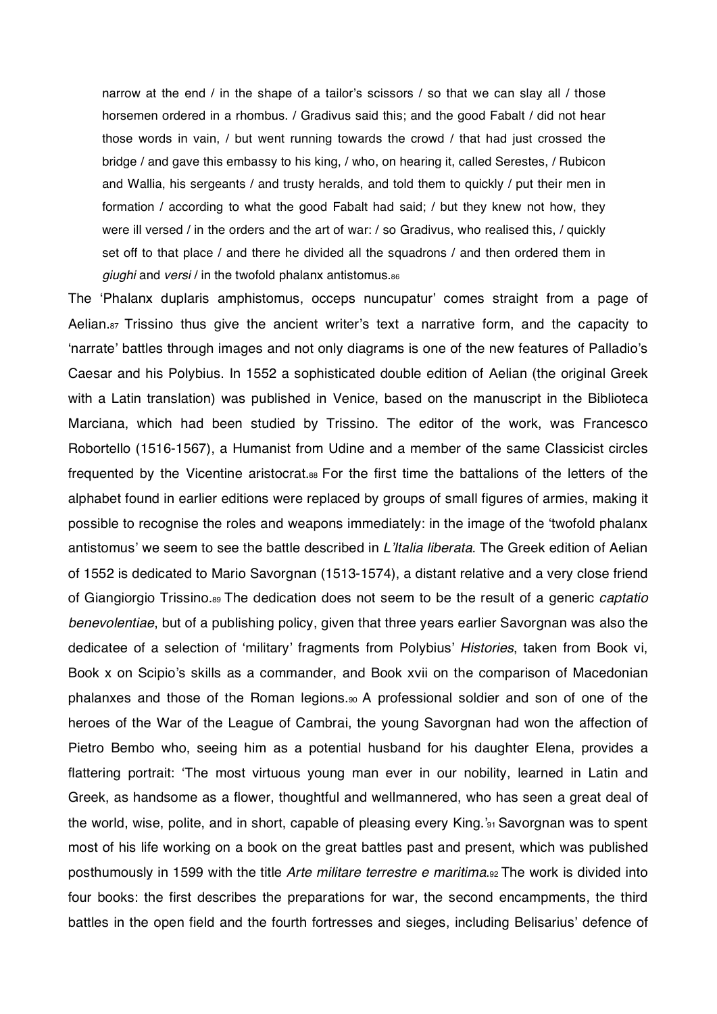narrow at the end / in the shape of a tailor's scissors / so that we can slay all / those horsemen ordered in a rhombus. / Gradivus said this; and the good Fabalt / did not hear those words in vain, / but went running towards the crowd / that had just crossed the bridge / and gave this embassy to his king, / who, on hearing it, called Serestes, / Rubicon and Wallia, his sergeants / and trusty heralds, and told them to quickly / put their men in formation / according to what the good Fabalt had said; / but they knew not how, they were ill versed / in the orders and the art of war: / so Gradivus, who realised this, / quickly set off to that place / and there he divided all the squadrons / and then ordered them in *giughi* and *versi* / in the twofold phalanx antistomus.86

The 'Phalanx duplaris amphistomus, occeps nuncupatur' comes straight from a page of Aelian.<sub>87</sub> Trissino thus give the ancient writer's text a narrative form, and the capacity to 'narrate' battles through images and not only diagrams is one of the new features of Palladio's Caesar and his Polybius. In 1552 a sophisticated double edition of Aelian (the original Greek with a Latin translation) was published in Venice, based on the manuscript in the Biblioteca Marciana, which had been studied by Trissino. The editor of the work, was Francesco Robortello (1516-1567), a Humanist from Udine and a member of the same Classicist circles frequented by the Vicentine aristocrat.88 For the first time the battalions of the letters of the alphabet found in earlier editions were replaced by groups of small figures of armies, making it possible to recognise the roles and weapons immediately: in the image of the 'twofold phalanx antistomus' we seem to see the battle described in *L'Italia liberata*. The Greek edition of Aelian of 1552 is dedicated to Mario Savorgnan (1513-1574), a distant relative and a very close friend of Giangiorgio Trissino.89 The dedication does not seem to be the result of a generic *captatio benevolentiae*, but of a publishing policy, given that three years earlier Savorgnan was also the dedicatee of a selection of 'military' fragments from Polybius' Histories, taken from Book vi, Book x on Scipio's skills as a commander, and Book xvii on the comparison of Macedonian phalanxes and those of the Roman legions.90 A professional soldier and son of one of the heroes of the War of the League of Cambrai, the young Savorgnan had won the affection of Pietro Bembo who, seeing him as a potential husband for his daughter Elena, provides a flattering portrait: The most virtuous young man ever in our nobility, learned in Latin and Greek, as handsome as a flower, thoughtful and wellmannered, who has seen a great deal of the world, wise, polite, and in short, capable of pleasing every King.'<sup>3</sup><sup>1</sup> Savorgnan was to spent most of his life working on a book on the great battles past and present, which was published posthumously in 1599 with the title *Arte militare terrestre e maritima*.92 The work is divided into four books: the first describes the preparations for war, the second encampments, the third battles in the open field and the fourth fortresses and sieges, including Belisarius' defence of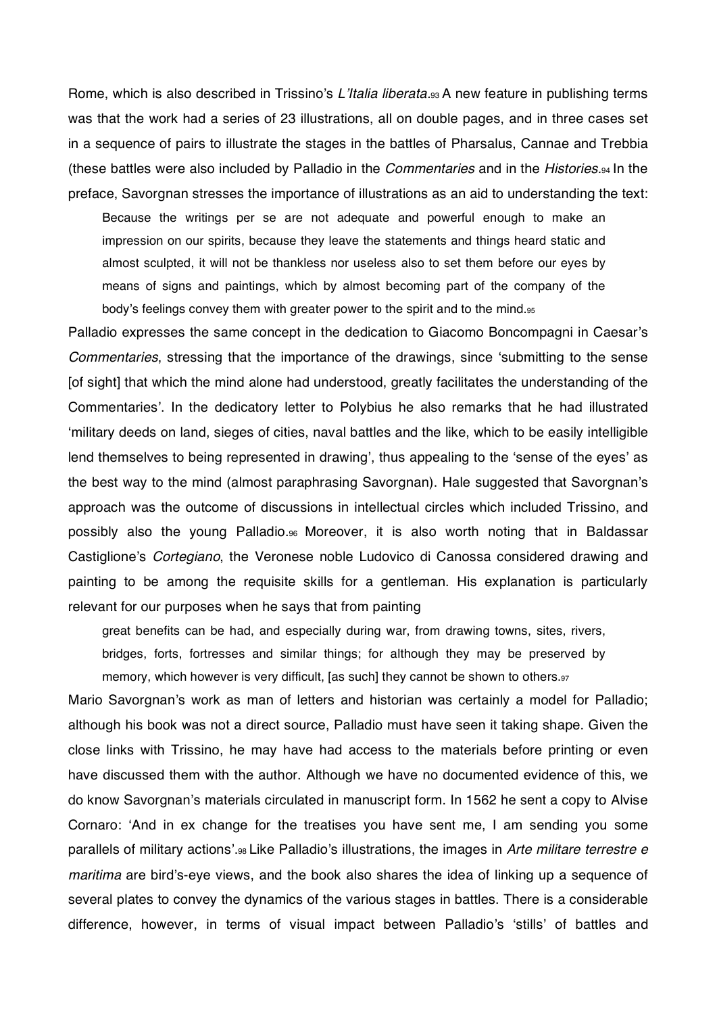Rome, which is also described in Trissino's L'Italia liberata.<sup>93</sup> A new feature in publishing terms was that the work had a series of 23 illustrations, all on double pages, and in three cases set in a sequence of pairs to illustrate the stages in the battles of Pharsalus, Cannae and Trebbia (these battles were also included by Palladio in the *Commentaries* and in the *Histories.*94 In the preface, Savorgnan stresses the importance of illustrations as an aid to understanding the text:

Because the writings per se are not adequate and powerful enough to make an impression on our spirits, because they leave the statements and things heard static and almost sculpted, it will not be thankless nor useless also to set them before our eyes by means of signs and paintings, which by almost becoming part of the company of the body's feelings convey them with greater power to the spirit and to the mind.<sup>95</sup>

Palladio expresses the same concept in the dedication to Giacomo Boncompagni in Caesar's *Commentaries*, stressing that the importance of the drawings, since 'submitting to the sense [of sight] that which the mind alone had understood, greatly facilitates the understanding of the Commentaries'. In the dedicatory letter to Polybius he also remarks that he had illustrated military deeds on land, sieges of cities, naval battles and the like, which to be easily intelligible lend themselves to being represented in drawing', thus appealing to the 'sense of the eyes' as the best way to the mind (almost paraphrasing Savorgnan). Hale suggested that Savorgnan's approach was the outcome of discussions in intellectual circles which included Trissino, and possibly also the young Palladio.96 Moreover, it is also worth noting that in Baldassar Castiglione's *Cortegiano*, the Veronese noble Ludovico di Canossa considered drawing and painting to be among the requisite skills for a gentleman. His explanation is particularly relevant for our purposes when he says that from painting

great benefits can be had, and especially during war, from drawing towns, sites, rivers,

bridges, forts, fortresses and similar things; for although they may be preserved by memory, which however is very difficult, [as such] they cannot be shown to others.97

Mario Savorgnan's work as man of letters and historian was certainly a model for Palladio; although his book was not a direct source, Palladio must have seen it taking shape. Given the close links with Trissino, he may have had access to the materials before printing or even have discussed them with the author. Although we have no documented evidence of this, we do know Savorgnan's materials circulated in manuscript form. In 1562 he sent a copy to Alvise Cornaro: 'And in ex change for the treatises you have sent me, I am sending you some parallels of military actions'.<sub>98</sub> Like Palladio's illustrations, the images in *Arte militare terrestre e* maritima are bird's-eye views, and the book also shares the idea of linking up a sequence of several plates to convey the dynamics of the various stages in battles. There is a considerable difference, however, in terms of visual impact between Palladio's 'stills' of battles and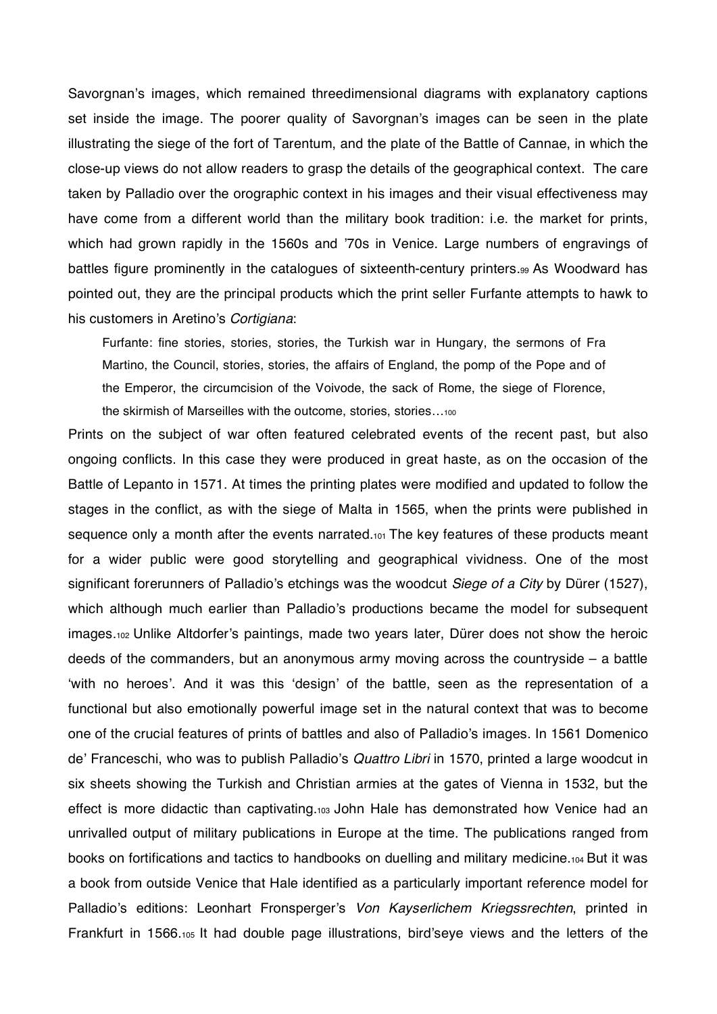Savorgnan's images, which remained threedimensional diagrams with explanatory captions set inside the image. The poorer quality of Savorgnan's images can be seen in the plate illustrating the siege of the fort of Tarentum, and the plate of the Battle of Cannae, in which the close-up views do not allow readers to grasp the details of the geographical context. The care taken by Palladio over the orographic context in his images and their visual effectiveness may have come from a different world than the military book tradition: i.e. the market for prints, which had grown rapidly in the 1560s and '70s in Venice. Large numbers of engravings of battles figure prominently in the catalogues of sixteenth-century printers.99 As Woodward has pointed out, they are the principal products which the print seller Furfante attempts to hawk to his customers in Aretino's *Cortigiana*:

Furfante: fine stories, stories, stories, the Turkish war in Hungary, the sermons of Fra Martino, the Council, stories, stories, the affairs of England, the pomp of the Pope and of the Emperor, the circumcision of the Voivode, the sack of Rome, the siege of Florence, the skirmish of Marseilles with the outcome, stories, stories…100

Prints on the subject of war often featured celebrated events of the recent past, but also ongoing conflicts. In this case they were produced in great haste, as on the occasion of the Battle of Lepanto in 1571. At times the printing plates were modified and updated to follow the stages in the conflict, as with the siege of Malta in 1565, when the prints were published in sequence only a month after the events narrated.<sup>101</sup> The key features of these products meant for a wider public were good storytelling and geographical vividness. One of the most significant forerunners of Palladio's etchings was the woodcut *Siege of a City* by Dürer (1527), which although much earlier than Palladio's productions became the model for subsequent images.102 Unlike Altdorfer's paintings, made two years later, Dürer does not show the heroic deeds of the commanders, but an anonymous army moving across the countryside  $-$  a battle 'with no heroes'. And it was this 'design' of the battle, seen as the representation of a functional but also emotionally powerful image set in the natural context that was to become one of the crucial features of prints of battles and also of Palladio's images. In 1561 Domenico de' Franceschi, who was to publish Palladio's *Quattro Libri* in 1570, printed a large woodcut in six sheets showing the Turkish and Christian armies at the gates of Vienna in 1532, but the effect is more didactic than captivating.103 John Hale has demonstrated how Venice had an unrivalled output of military publications in Europe at the time. The publications ranged from books on fortifications and tactics to handbooks on duelling and military medicine.104 But it was a book from outside Venice that Hale identified as a particularly important reference model for Palladio's editions: Leonhart Fronsperger's Von Kayserlichem Kriegssrechten, printed in Frankfurt in 1566.105 It had double page illustrations, bird'seye views and the letters of the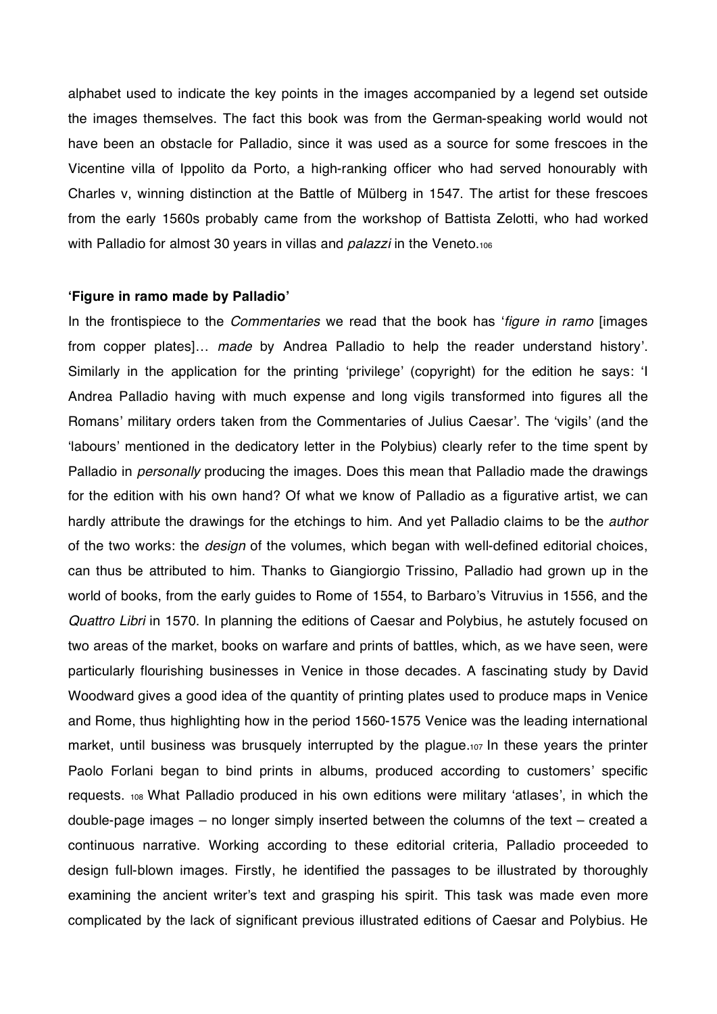alphabet used to indicate the key points in the images accompanied by a legend set outside the images themselves. The fact this book was from the German-speaking world would not have been an obstacle for Palladio, since it was used as a source for some frescoes in the Vicentine villa of Ippolito da Porto, a high-ranking officer who had served honourably with Charles v, winning distinction at the Battle of Mulberg in 1547. The artist for these frescoes from the early 1560s probably came from the workshop of Battista Zelotti, who had worked with Palladio for almost 30 years in villas and *palazzi* in the Veneto.106

#### **Figure in ramo made by Palladio-**

In the frontispiece to the *Commentaries* we read that the book has 'figure in ramo [images from copper plates]… *made* by Andrea Palladio to help the reader understand history. Similarly in the application for the printing 'privilege' (copyright) for the edition he says: 'I Andrea Palladio having with much expense and long vigils transformed into figures all the Romans' military orders taken from the Commentaries of Julius Caesar'. The 'vigils' (and the 'labours' mentioned in the dedicatory letter in the Polybius) clearly refer to the time spent by Palladio in *personally* producing the images. Does this mean that Palladio made the drawings for the edition with his own hand? Of what we know of Palladio as a figurative artist, we can hardly attribute the drawings for the etchings to him. And yet Palladio claims to be the *author*  of the two works: the *design* of the volumes, which began with well-defined editorial choices, can thus be attributed to him. Thanks to Giangiorgio Trissino, Palladio had grown up in the world of books, from the early guides to Rome of 1554, to Barbaro's Vitruvius in 1556, and the *Quattro Libri* in 1570. In planning the editions of Caesar and Polybius, he astutely focused on two areas of the market, books on warfare and prints of battles, which, as we have seen, were particularly flourishing businesses in Venice in those decades. A fascinating study by David Woodward gives a good idea of the quantity of printing plates used to produce maps in Venice and Rome, thus highlighting how in the period 1560-1575 Venice was the leading international market, until business was brusquely interrupted by the plague.107 In these years the printer Paolo Forlani began to bind prints in albums, produced according to customers' specific requests. 108 What Palladio produced in his own editions were military 'atlases', in which the double-page images – no longer simply inserted between the columns of the text – created a continuous narrative. Working according to these editorial criteria, Palladio proceeded to design full-blown images. Firstly, he identified the passages to be illustrated by thoroughly examining the ancient writer's text and grasping his spirit. This task was made even more complicated by the lack of significant previous illustrated editions of Caesar and Polybius. He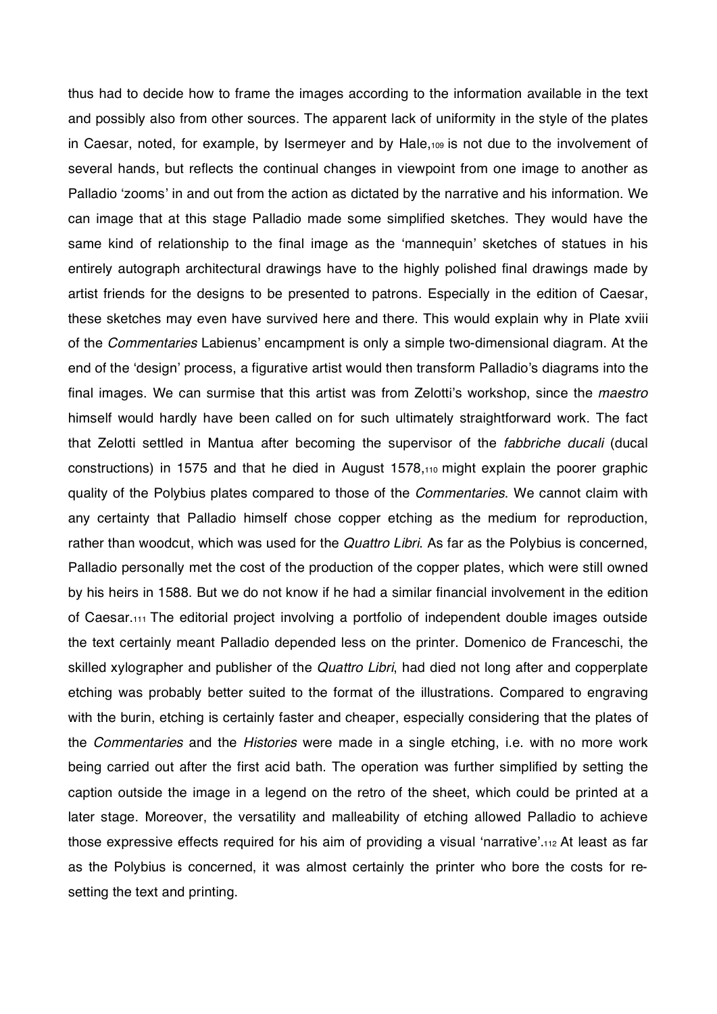thus had to decide how to frame the images according to the information available in the text and possibly also from other sources. The apparent lack of uniformity in the style of the plates in Caesar, noted, for example, by Isermeyer and by Hale,109 is not due to the involvement of several hands, but reflects the continual changes in viewpoint from one image to another as Palladio 'zooms' in and out from the action as dictated by the narrative and his information. We can image that at this stage Palladio made some simplified sketches. They would have the same kind of relationship to the final image as the 'mannequin' sketches of statues in his entirely autograph architectural drawings have to the highly polished final drawings made by artist friends for the designs to be presented to patrons. Especially in the edition of Caesar, these sketches may even have survived here and there. This would explain why in Plate xviii of the *Commentaries* Labienus' encampment is only a simple two-dimensional diagram. At the end of the 'design' process, a figurative artist would then transform Palladio's diagrams into the final images. We can surmise that this artist was from Zelotti's workshop, since the *maestro* himself would hardly have been called on for such ultimately straightforward work. The fact that Zelotti settled in Mantua after becoming the supervisor of the *fabbriche ducali* (ducal constructions) in 1575 and that he died in August 1578,110 might explain the poorer graphic quality of the Polybius plates compared to those of the *Commentaries*. We cannot claim with any certainty that Palladio himself chose copper etching as the medium for reproduction, rather than woodcut, which was used for the *Quattro Libri*. As far as the Polybius is concerned, Palladio personally met the cost of the production of the copper plates, which were still owned by his heirs in 1588. But we do not know if he had a similar financial involvement in the edition of Caesar.111 The editorial project involving a portfolio of independent double images outside the text certainly meant Palladio depended less on the printer. Domenico de Franceschi, the skilled xylographer and publisher of the *Quattro Libri*, had died not long after and copperplate etching was probably better suited to the format of the illustrations. Compared to engraving with the burin, etching is certainly faster and cheaper, especially considering that the plates of the *Commentaries* and the *Histories* were made in a single etching, i.e. with no more work being carried out after the first acid bath. The operation was further simplified by setting the caption outside the image in a legend on the retro of the sheet, which could be printed at a later stage. Moreover, the versatility and malleability of etching allowed Palladio to achieve those expressive effects required for his aim of providing a visual 'narrative'.112 At least as far as the Polybius is concerned, it was almost certainly the printer who bore the costs for resetting the text and printing.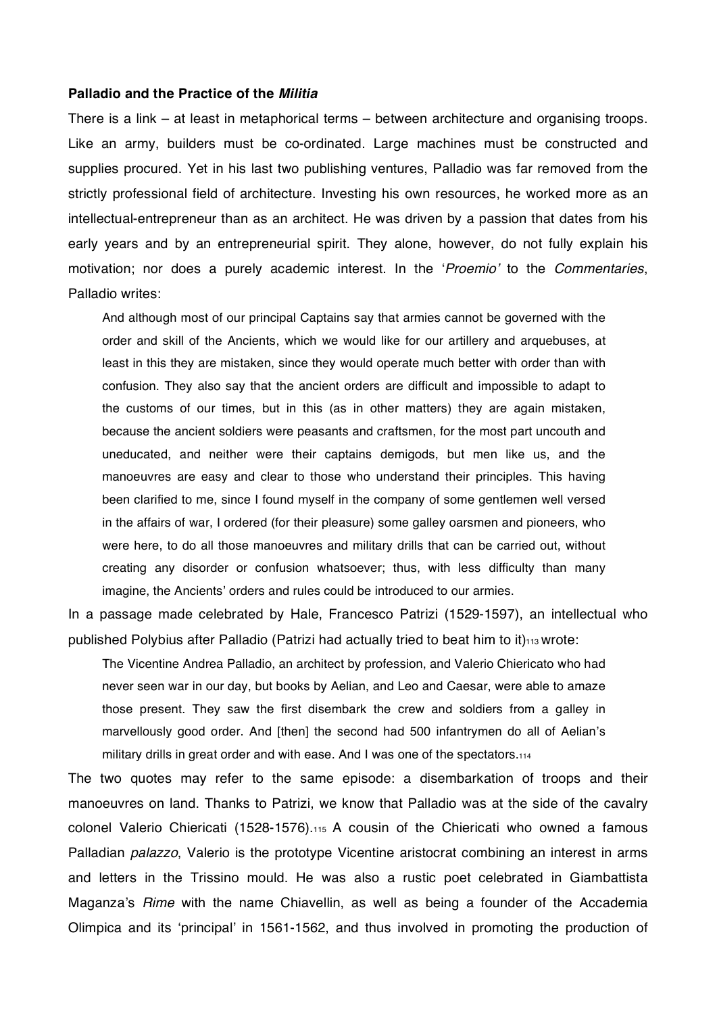#### **Palladio and the Practice of the** *Militia*

There is a link – at least in metaphorical terms – between architecture and organising troops. Like an army, builders must be co-ordinated. Large machines must be constructed and supplies procured. Yet in his last two publishing ventures, Palladio was far removed from the strictly professional field of architecture. Investing his own resources, he worked more as an intellectual-entrepreneur than as an architect. He was driven by a passion that dates from his early years and by an entrepreneurial spirit. They alone, however, do not fully explain his motivation; nor does a purely academic interest. In the *Proemio* to the *Commentaries*, Palladio writes:

And although most of our principal Captains say that armies cannot be governed with the order and skill of the Ancients, which we would like for our artillery and arquebuses, at least in this they are mistaken, since they would operate much better with order than with confusion. They also say that the ancient orders are difficult and impossible to adapt to the customs of our times, but in this (as in other matters) they are again mistaken, because the ancient soldiers were peasants and craftsmen, for the most part uncouth and uneducated, and neither were their captains demigods, but men like us, and the manoeuvres are easy and clear to those who understand their principles. This having been clarified to me, since I found myself in the company of some gentlemen well versed in the affairs of war, I ordered (for their pleasure) some galley oarsmen and pioneers, who were here, to do all those manoeuvres and military drills that can be carried out, without creating any disorder or confusion whatsoever; thus, with less difficulty than many imagine, the Ancients' orders and rules could be introduced to our armies.

In a passage made celebrated by Hale, Francesco Patrizi (1529-1597), an intellectual who published Polybius after Palladio (Patrizi had actually tried to beat him to it) $_{113}$  wrote:

The Vicentine Andrea Palladio, an architect by profession, and Valerio Chiericato who had never seen war in our day, but books by Aelian, and Leo and Caesar, were able to amaze those present. They saw the first disembark the crew and soldiers from a galley in marvellously good order. And [then] the second had 500 infantrymen do all of Aelian's military drills in great order and with ease. And I was one of the spectators.114

The two quotes may refer to the same episode: a disembarkation of troops and their manoeuvres on land. Thanks to Patrizi, we know that Palladio was at the side of the cavalry colonel Valerio Chiericati (1528-1576).115 A cousin of the Chiericati who owned a famous Palladian *palazzo*, Valerio is the prototype Vicentine aristocrat combining an interest in arms and letters in the Trissino mould. He was also a rustic poet celebrated in Giambattista Maganza's *Rime* with the name Chiavellin, as well as being a founder of the Accademia Olimpica and its 'principal' in 1561-1562, and thus involved in promoting the production of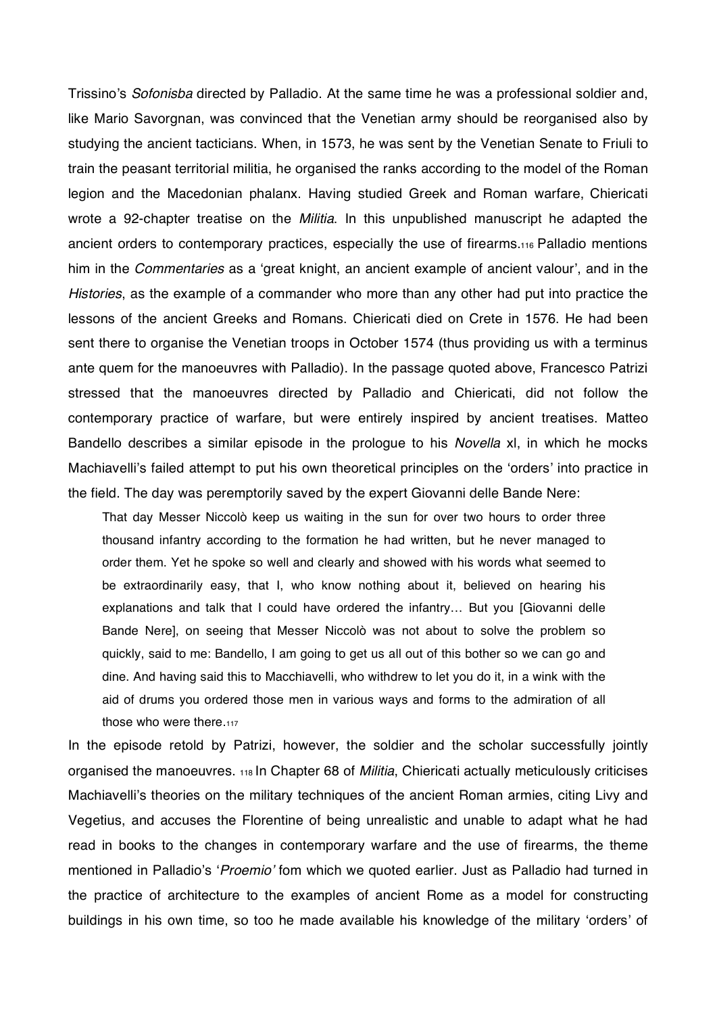Trissino's *Sofonisba* directed by Palladio. At the same time he was a professional soldier and, like Mario Savorgnan, was convinced that the Venetian army should be reorganised also by studying the ancient tacticians. When, in 1573, he was sent by the Venetian Senate to Friuli to train the peasant territorial militia, he organised the ranks according to the model of the Roman legion and the Macedonian phalanx. Having studied Greek and Roman warfare, Chiericati wrote a 92-chapter treatise on the *Militia*. In this unpublished manuscript he adapted the ancient orders to contemporary practices, especially the use of firearms.116 Palladio mentions him in the *Commentaries* as a 'great knight, an ancient example of ancient valour', and in the *Histories*, as the example of a commander who more than any other had put into practice the lessons of the ancient Greeks and Romans. Chiericati died on Crete in 1576. He had been sent there to organise the Venetian troops in October 1574 (thus providing us with a terminus ante quem for the manoeuvres with Palladio). In the passage quoted above, Francesco Patrizi stressed that the manoeuvres directed by Palladio and Chiericati, did not follow the contemporary practice of warfare, but were entirely inspired by ancient treatises. Matteo Bandello describes a similar episode in the prologue to his *Novella* xl, in which he mocks Machiavelli's failed attempt to put his own theoretical principles on the 'orders' into practice in the field. The day was peremptorily saved by the expert Giovanni delle Bande Nere:

That day Messer Niccolò keep us waiting in the sun for over two hours to order three thousand infantry according to the formation he had written, but he never managed to order them. Yet he spoke so well and clearly and showed with his words what seemed to be extraordinarily easy, that I, who know nothing about it, believed on hearing his explanations and talk that I could have ordered the infantry… But you [Giovanni delle Bande Nere], on seeing that Messer Niccolò was not about to solve the problem so quickly, said to me: Bandello, I am going to get us all out of this bother so we can go and dine. And having said this to Macchiavelli, who withdrew to let you do it, in a wink with the aid of drums you ordered those men in various ways and forms to the admiration of all those who were there.117

In the episode retold by Patrizi, however, the soldier and the scholar successfully jointly organised the manoeuvres. 118 In Chapter 68 of *Militia*, Chiericati actually meticulously criticises Machiavelli's theories on the military techniques of the ancient Roman armies, citing Livy and Vegetius, and accuses the Florentine of being unrealistic and unable to adapt what he had read in books to the changes in contemporary warfare and the use of firearms, the theme mentioned in Palladio's 'Proemio' fom which we quoted earlier. Just as Palladio had turned in the practice of architecture to the examples of ancient Rome as a model for constructing buildings in his own time, so too he made available his knowledge of the military 'orders' of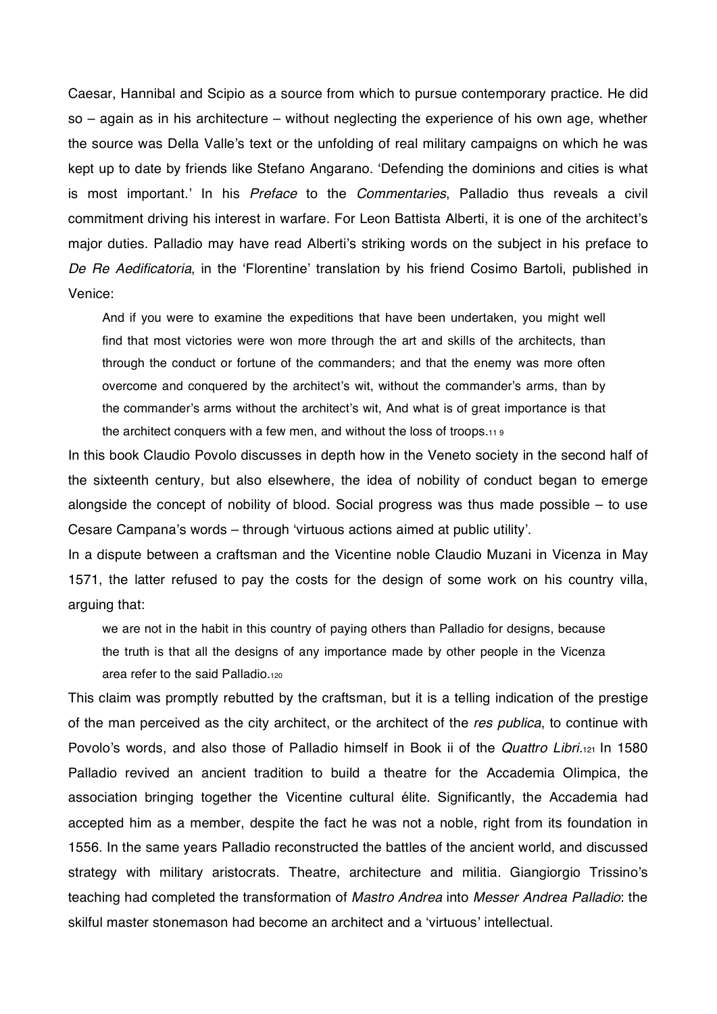Caesar, Hannibal and Scipio as a source from which to pursue contemporary practice. He did so – again as in his architecture – without neglecting the experience of his own age, whether the source was Della Valle's text or the unfolding of real military campaigns on which he was kept up to date by friends like Stefano Angarano. 'Defending the dominions and cities is what is most important.' In his *Preface* to the *Commentaries*, Palladio thus reveals a civil commitment driving his interest in warfare. For Leon Battista Alberti, it is one of the architect's major duties. Palladio may have read Alberti's striking words on the subject in his preface to De Re Aedificatoria, in the 'Florentine' translation by his friend Cosimo Bartoli, published in Venice:

And if you were to examine the expeditions that have been undertaken, you might well find that most victories were won more through the art and skills of the architects, than through the conduct or fortune of the commanders; and that the enemy was more often overcome and conquered by the architect's wit, without the commander's arms, than by the commander's arms without the architect's wit, And what is of great importance is that the architect conquers with a few men, and without the loss of troops.11 9

In this book Claudio Povolo discusses in depth how in the Veneto society in the second half of the sixteenth century, but also elsewhere, the idea of nobility of conduct began to emerge alongside the concept of nobility of blood. Social progress was thus made possible – to use Cesare Campana's words – through 'virtuous actions aimed at public utility'.

In a dispute between a craftsman and the Vicentine noble Claudio Muzani in Vicenza in May 1571, the latter refused to pay the costs for the design of some work on his country villa, arguing that:

we are not in the habit in this country of paying others than Palladio for designs, because the truth is that all the designs of any importance made by other people in the Vicenza area refer to the said Palladio.120

This claim was promptly rebutted by the craftsman, but it is a telling indication of the prestige of the man perceived as the city architect, or the architect of the *res publica*, to continue with Povolo's words, and also those of Palladio himself in Book ii of the *Quattro Libri.*121 In 1580 Palladio revived an ancient tradition to build a theatre for the Accademia Olimpica, the association bringing together the Vicentine cultural élite. Significantly, the Accademia had accepted him as a member, despite the fact he was not a noble, right from its foundation in 1556. In the same years Palladio reconstructed the battles of the ancient world, and discussed strategy with military aristocrats. Theatre, architecture and militia. Giangiorgio Trissino's teaching had completed the transformation of *Mastro Andrea* into *Messer Andrea Palladio*: the skilful master stonemason had become an architect and a 'virtuous' intellectual.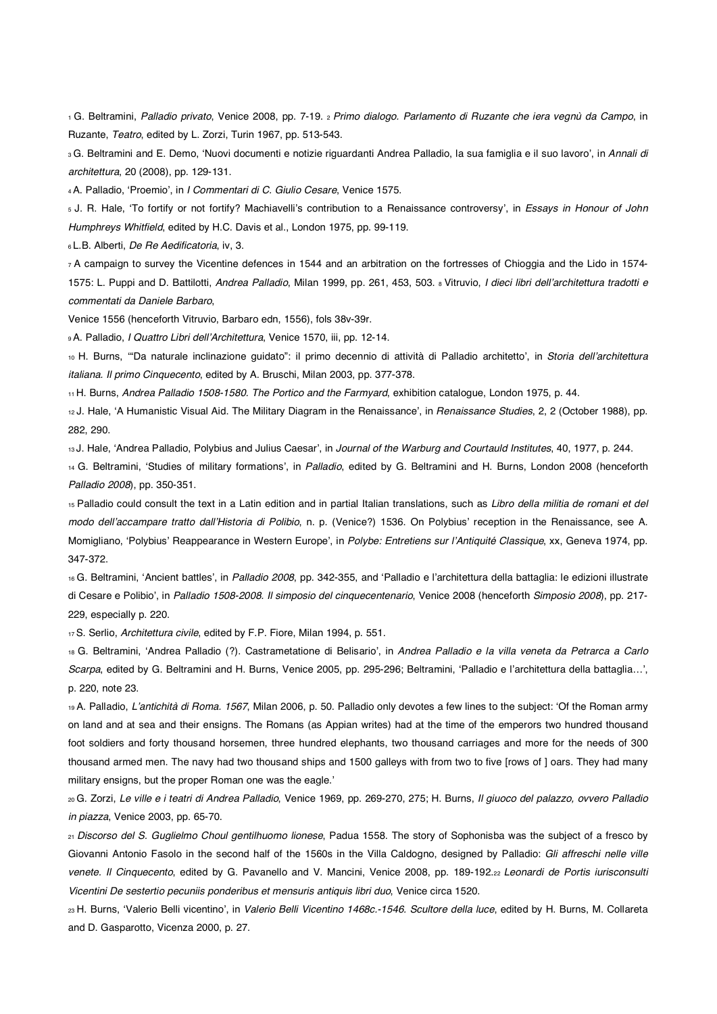1 G. Beltramini, *Palladio privato*, Venice 2008, pp. 7-19. 2 *Primo dialogo. Parlamento di Ruzante che iera vegnù da Campo*, in Ruzante, *Teatro*, edited by L. Zorzi, Turin 1967, pp. 513-543.

<sup>3</sup>G. Beltramini and E. Demo, 'Nuovi documenti e notizie riguardanti Andrea Palladio, la sua famiglia e il suo lavoro', in *Annali di architettura*, 20 (2008), pp. 129-131.

4A. Palladio, 'Proemio', in *I Commentari di C. Giulio Cesare*, Venice 1575.

<sup>5</sup> J. R. Hale, 'To fortify or not fortify? Machiavelli's contribution to a Renaissance controversy', in *Essays in Honour of John Humphreys Whitfield*, edited by H.C. Davis et al., London 1975, pp. 99-119.

6 L.B. Alberti, *De Re Aedificatoria*, iv, 3.

7 A campaign to survey the Vicentine defences in 1544 and an arbitration on the fortresses of Chioggia and the Lido in 1574- 1575: L. Puppi and D. Battilotti, *Andrea Palladio*, Milan 1999, pp. 261, 453, 503. 8 Vitruvio, *I dieci libri dellarchitettura tradotti e commentati da Daniele Barbaro*,

Venice 1556 (henceforth Vitruvio, Barbaro edn, 1556), fols 38v-39r.

9 A. Palladio, *I Quattro Libri dellArchitettura*, Venice 1570, iii, pp. 12-14.

<sup>10</sup> H. Burns, "Da naturale inclinazione guidato": il primo decennio di attività di Palladio architetto', in Storia dell'architettura *italiana. Il primo Cinquecento*, edited by A. Bruschi, Milan 2003, pp. 377-378.

11 H. Burns, *Andrea Palladio 1508-1580. The Portico and the Farmyard*, exhibition catalogue, London 1975, p. 44.

<sup>12</sup> J. Hale, 'A Humanistic Visual Aid. The Military Diagram in the Renaissance', in *Renaissance Studies*, 2, 2 (October 1988), pp. 282, 290.

13J. Hale, 'Andrea Palladio, Polybius and Julius Caesar', in *Journal of the Warburg and Courtauld Institutes*, 40, 1977, p. 244.

14 G. Beltramini, 'Studies of military formations', in Palladio, edited by G. Beltramini and H. Burns, London 2008 (henceforth *Palladio 2008*), pp. 350-351.

15 Palladio could consult the text in a Latin edition and in partial Italian translations, such as *Libro della militia de romani et del*  modo dell'accampare tratto dall'Historia di Polibio, n. p. (Venice?) 1536. On Polybius' reception in the Renaissance, see A. Momigliano, 'Polybius' Reappearance in Western Europe', in *Polybe: Entretiens sur l'Antiquité Classique*, xx, Geneva 1974, pp. 347-372.

<sup>16</sup> G. Beltramini, 'Ancient battles', in Palladio 2008, pp. 342-355, and 'Palladio e l'architettura della battaglia: le edizioni illustrate di Cesare e Polibio', in *Palladio 1508-2008. Il simposio del cinquecentenario*, Venice 2008 (henceforth *Simposio 2008*), pp. 217-229, especially p. 220.

17 S. Serlio, *Architettura civile*, edited by F.P. Fiore, Milan 1994, p. 551.

<sup>18</sup> G. Beltramini, 'Andrea Palladio (?). Castrametatione di Belisario', in *Andrea Palladio e la villa veneta da Petrarca a Carlo* Scarpa, edited by G. Beltramini and H. Burns, Venice 2005, pp. 295-296; Beltramini, 'Palladio e l'architettura della battaglia...', p. 220, note 23.

19 A. Palladio, *Lantichità di Roma. 1567*, Milan 2006, p. 50. Palladio only devotes a few lines to the subject: Of the Roman army on land and at sea and their ensigns. The Romans (as Appian writes) had at the time of the emperors two hundred thousand foot soldiers and forty thousand horsemen, three hundred elephants, two thousand carriages and more for the needs of 300 thousand armed men. The navy had two thousand ships and 1500 galleys with from two to five [rows of ] oars. They had many military ensigns, but the proper Roman one was the eagle.'

20 G. Zorzi, *Le ville e i teatri di Andrea Palladio*, Venice 1969, pp. 269-270, 275; H. Burns, *Il giuoco del palazzo, ovvero Palladio in piazza*, Venice 2003, pp. 65-70.

<sup>21</sup>*Discorso del S. Guglielmo Choul gentilhuomo lionese*, Padua 1558. The story of Sophonisba was the subject of a fresco by Giovanni Antonio Fasolo in the second half of the 1560s in the Villa Caldogno, designed by Palladio: *Gli affreschi nelle ville venete. Il Cinquecento*, edited by G. Pavanello and V. Mancini, Venice 2008, pp. 189-192.22 *Leonardi de Portis iurisconsulti Vicentini De sestertio pecuniis ponderibus et mensuris antiquis libri duo*, Venice circa 1520.

<sup>23</sup> H. Burns, 'Valerio Belli vicentino', in *Valerio Belli Vicentino 1468c.-1546. Scultore della luce*, edited by H. Burns, M. Collareta and D. Gasparotto, Vicenza 2000, p. 27.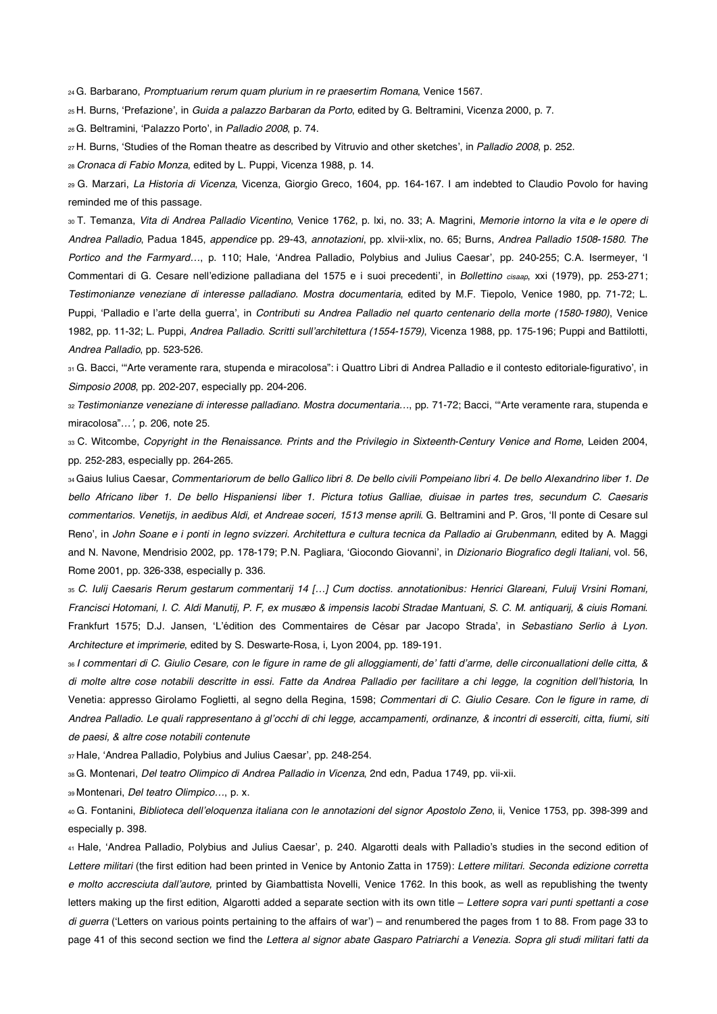24 G. Barbarano, *Promptuarium rerum quam plurium in re praesertim Romana*, Venice 1567.

<sup>25</sup> H. Burns, 'Prefazione', in *Guida a palazzo Barbaran da Porto*, edited by G. Beltramini, Vicenza 2000, p. 7.

26 G. Beltramini, Palazzo Porto-, in *Palladio 2008*, p. 74.

27 H. Burns, 'Studies of the Roman theatre as described by Vitruvio and other sketches', in *Palladio 2008*, p. 252.

<sup>28</sup>*Cronaca di Fabio Monza*, edited by L. Puppi, Vicenza 1988, p. 14.

29 G. Marzari, *La Historia di Vicenza*, Vicenza, Giorgio Greco, 1604, pp. 164-167. I am indebted to Claudio Povolo for having reminded me of this passage.

30 T. Temanza, *Vita di Andrea Palladio Vicentino*, Venice 1762, p. lxi, no. 33; A. Magrini, *Memorie intorno la vita e le opere di Andrea Palladio*, Padua 1845, *appendice* pp. 29-43, *annotazioni*, pp. xlvii-xlix, no. 65; Burns, *Andrea Palladio 1508-1580. The*  Portico and the Farmyard..., p. 110; Hale, 'Andrea Palladio, Polybius and Julius Caesar', pp. 240-255; C.A. Isermeyer, 'I Commentari di G. Cesare nell'edizione palladiana del 1575 e i suoi precedenti', in *Bollettino cisaap*, xxi (1979), pp. 253-271; *Testimonianze veneziane di interesse palladiano. Mostra documentaria*, edited by M.F. Tiepolo, Venice 1980, pp. 71-72; L. Puppi, 'Palladio e l'arte della guerra', in *Contributi su Andrea Palladio nel quarto centenario della morte (1580-1980)*, Venice 1982, pp. 11-32; L. Puppi, *Andrea Palladio. Scritti sullarchitettura (1554-1579)*, Vicenza 1988, pp. 175-196; Puppi and Battilotti, *Andrea Palladio*, pp. 523-526.

31 G. Bacci, '"Arte veramente rara, stupenda e miracolosa": i Quattro Libri di Andrea Palladio e il contesto editoriale-figurativo', in *Simposio 2008*, pp. 202-207, especially pp. 204-206.

<sup>32</sup>*Testimonianze veneziane di interesse palladiano. Mostra documentaria…*, pp. 71-72; Bacci, "Arte veramente rara, stupenda e miracolosa"*…*, p. 206, note 25.

33 C. Witcombe, *Copyright in the Renaissance. Prints and the Privilegio in Sixteenth-Century Venice and Rome*, Leiden 2004, pp. 252-283, especially pp. 264-265.

34 Gaius Iulius Caesar, *Commentariorum de bello Gallico libri 8. De bello civili Pompeiano libri 4. De bello Alexandrino liber 1. De bello Africano liber 1. De bello Hispaniensi liber 1. Pictura totius Galliae, diuisae in partes tres, secundum C. Caesaris commentarios. Venetijs, in aedibus Aldi, et Andreae soceri, 1513 mense aprili*. G. Beltramini and P. Gros, Il ponte di Cesare sul Reno', in *John Soane e i ponti in legno svizzeri. Architettura e cultura tecnica da Palladio ai Grubenmann, edited by A. Maggi* and N. Navone, Mendrisio 2002, pp. 178-179; P.N. Pagliara, 'Giocondo Giovanni', in *Dizionario Biografico degli Italiani*, vol. 56, Rome 2001, pp. 326-338, especially p. 336.

<sup>35</sup>*C. Iulij Caesaris Rerum gestarum commentarij 14 […] Cum doctiss. annotationibus: Henrici Glareani, Fuluij Vrsini Romani, Francisci Hotomani, I. C. Aldi Manutij, P. F, ex musæo & impensis Iacobi Stradae Mantuani, S. C. M. antiquarij, & ciuis Romani*. Frankfurt 1575; D.J. Jansen, 'L'édition des Commentaires de César par Jacopo Strada', in *Sebastiano Serlio à Lyon. Architecture et imprimerie*, edited by S. Deswarte-Rosa, i, Lyon 2004, pp. 189-191.

<sup>36</sup>*I commentari di C. Giulio Cesare, con le figure in rame de gli alloggiamenti, de fatti darme, delle circonuallationi delle citta, & di molte altre cose notabili descritte in essi. Fatte da Andrea Palladio per facilitare a chi legge, la cognition dellhistoria*, In Venetia: appresso Girolamo Foglietti, al segno della Regina, 1598; *Commentari di C. Giulio Cesare. Con le figure in rame, di Andrea Palladio. Le quali rappresentano à glocchi di chi legge, accampamenti, ordinanze, & incontri di esserciti, citta, fiumi, siti de paesi, & altre cose notabili contenute* 

37 Hale, 'Andrea Palladio, Polybius and Julius Caesar', pp. 248-254.

38 G. Montenari, *Del teatro Olimpico di Andrea Palladio in Vicenza*, 2nd edn, Padua 1749, pp. vii-xii.

39 Montenari, *Del teatro Olimpico…*, p. x.

40 G. Fontanini, *Biblioteca delleloquenza italiana con le annotazioni del signor Apostolo Zeno*, ii, Venice 1753, pp. 398-399 and especially p. 398.

41 Hale, 'Andrea Palladio, Polybius and Julius Caesar', p. 240. Algarotti deals with Palladio's studies in the second edition of *Lettere militari* (the first edition had been printed in Venice by Antonio Zatta in 1759): *Lettere militari. Seconda edizione corretta e molto accresciuta dallautore,* printed by Giambattista Novelli, Venice 1762. In this book, as well as republishing the twenty letters making up the first edition, Algarotti added a separate section with its own title – *Lettere sopra vari punti spettanti a cose*  di guerra ('Letters on various points pertaining to the affairs of war') – and renumbered the pages from 1 to 88. From page 33 to page 41 of this second section we find the *Lettera al signor abate Gasparo Patriarchi a Venezia. Sopra gli studi militari fatti da*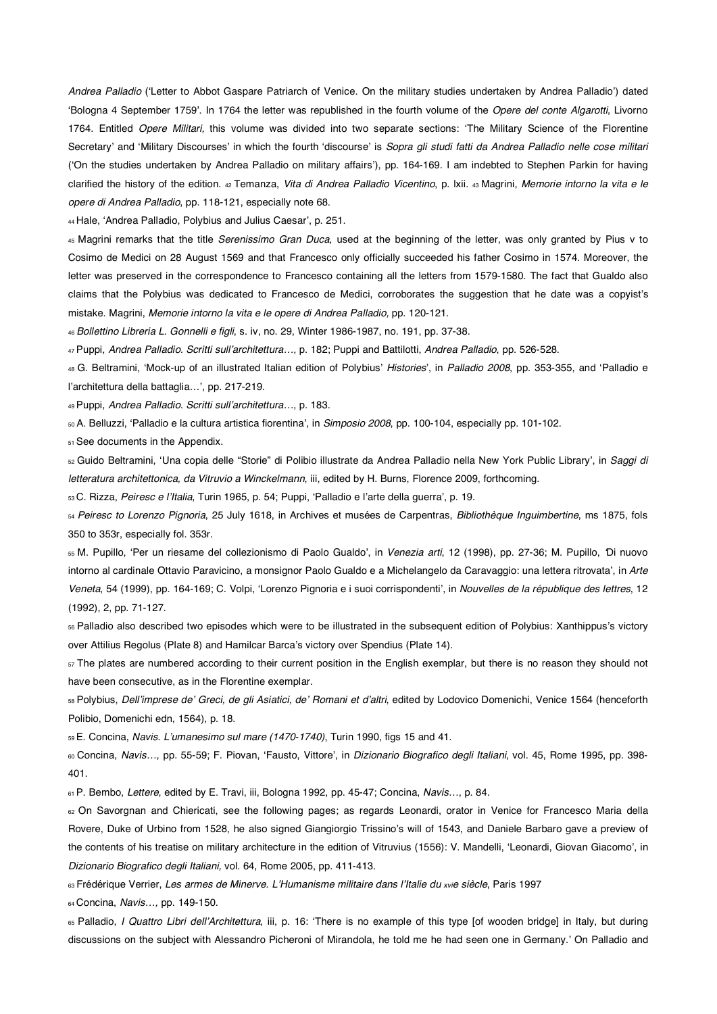Andrea Palladio ('Letter to Abbot Gaspare Patriarch of Venice. On the military studies undertaken by Andrea Palladio') dated Bologna 4 September 1759'. In 1764 the letter was republished in the fourth volume of the *Opere del conte Algarotti*, Livorno 1764. Entitled *Opere Militari,* this volume was divided into two separate sections: The Military Science of the Florentine Secretary' and 'Military Discourses' in which the fourth 'discourse' is *Sopra gli studi fatti da Andrea Palladio nelle cose militari* ('On the studies undertaken by Andrea Palladio on military affairs'), pp. 164-169. I am indebted to Stephen Parkin for having clarified the history of the edition. 42 Temanza, *Vita di Andrea Palladio Vicentino*, p. lxii. 43 Magrini, *Memorie intorno la vita e le opere di Andrea Palladio*, pp. 118-121, especially note 68.

44 Hale, 'Andrea Palladio, Polybius and Julius Caesar', p. 251.

45 Magrini remarks that the title *Serenissimo Gran Duca*, used at the beginning of the letter, was only granted by Pius v to Cosimo de Medici on 28 August 1569 and that Francesco only officially succeeded his father Cosimo in 1574. Moreover, the letter was preserved in the correspondence to Francesco containing all the letters from 1579-1580. The fact that Gualdo also claims that the Polybius was dedicated to Francesco de Medici, corroborates the suggestion that he date was a copyist's mistake. Magrini, *Memorie intorno la vita e le opere di Andrea Palladio,* pp. 120-121.

<sup>46</sup>*Bollettino Libreria L. Gonnelli e figli*, s. iv, no. 29, Winter 1986-1987, no. 191, pp. 37-38.

47 Puppi, *Andrea Palladio. Scritti sull*-*architettura…*, p. 182; Puppi and Battilotti, *Andrea Palladio*, pp. 526-528.

<sup>48</sup> G. Beltramini, 'Mock-up of an illustrated Italian edition of Polybius' *Histories*', in *Palladio 2008*, pp. 353-355, and 'Palladio e l'architettura della battaglia...', pp. 217-219.

49 Puppi, *Andrea Palladio. Scritti sull*-*architettura…*, p. 183.

<sup>50</sup> A. Belluzzi, 'Palladio e la cultura artistica fiorentina', in *Simposio 2008*, pp. 100-104, especially pp. 101-102.

51 See documents in the Appendix.

<sup>52</sup> Guido Beltramini, 'Una copia delle "Storie" di Polibio illustrate da Andrea Palladio nella New York Public Library', in *Saggi di letteratura architettonica, da Vitruvio a Winckelmann*, iii, edited by H. Burns, Florence 2009, forthcoming.

 $_{53}$ C. Rizza, *Peiresc e l'Italia*, Turin 1965, p. 54; Puppi, 'Palladio e l'arte della guerra', p. 19.

<sup>54</sup>*Peiresc to Lorenzo Pignoria*, 25 July 1618, in Archives et musées de Carpentras, *Bibliothèque Inguimbertine*, ms 1875, fols 350 to 353r, especially fol. 353r.

<sup>55</sup> M. Pupillo, 'Per un riesame del collezionismo di Paolo Gualdo', in *Venezia arti*, 12 (1998), pp. 27-36; M. Pupillo, Di nuovo intorno al cardinale Ottavio Paravicino, a monsignor Paolo Gualdo e a Michelangelo da Caravaggio: una lettera ritrovata', in *Arte* Veneta, 54 (1999), pp. 164-169; C. Volpi, 'Lorenzo Pignoria e i suoi corrispondenti', in *Nouvelles de la république des lettres*, 12 (1992), 2, pp. 71-127.

56 Palladio also described two episodes which were to be illustrated in the subsequent edition of Polybius: Xanthippus's victory over Attilius Regolus (Plate 8) and Hamilcar Barca's victory over Spendius (Plate 14).

 $57$  The plates are numbered according to their current position in the English exemplar, but there is no reason they should not have been consecutive, as in the Florentine exemplar.

58 Polybius, *Dell*-*imprese de*- *Greci, de gli Asiatici, de*- *Romani et d*-*altri*, edited by Lodovico Domenichi, Venice 1564 (henceforth Polibio, Domenichi edn, 1564), p. 18.

59 E. Concina, *Navis. L*-*umanesimo sul mare (1470-1740)*, Turin 1990, figs 15 and 41.

® Concina, *Navis...*, pp. 55-59; F. Piovan, 'Fausto, Vittore', in *Dizionario Biografico degli Italiani*, vol. 45, Rome 1995, pp. 398-401.

61 P. Bembo, *Lettere*, edited by E. Travi, iii, Bologna 1992, pp. 45-47; Concina, *Navis…*, p. 84.

62 On Savorgnan and Chiericati, see the following pages; as regards Leonardi, orator in Venice for Francesco Maria della Rovere, Duke of Urbino from 1528, he also signed Giangiorgio Trissino's will of 1543, and Daniele Barbaro gave a preview of the contents of his treatise on military architecture in the edition of Vitruvius (1556): V. Mandelli, 'Leonardi, Giovan Giacomo', in *Dizionario Biografico degli Italiani,* vol. 64, Rome 2005, pp. 411-413.

63 Frédérique Verrier, *Les armes de Minerve. L*-*Humanisme militaire dans l*-*Italie du xvie siècle*, Paris 1997

64 Concina, *Navis…,* pp. 149-150.

<sup>65</sup> Palladio, *I Quattro Libri dell'Architettura*, iii, p. 16: 'There is no example of this type [of wooden bridge] in Italy, but during discussions on the subject with Alessandro Picheroni of Mirandola, he told me he had seen one in Germany.' On Palladio and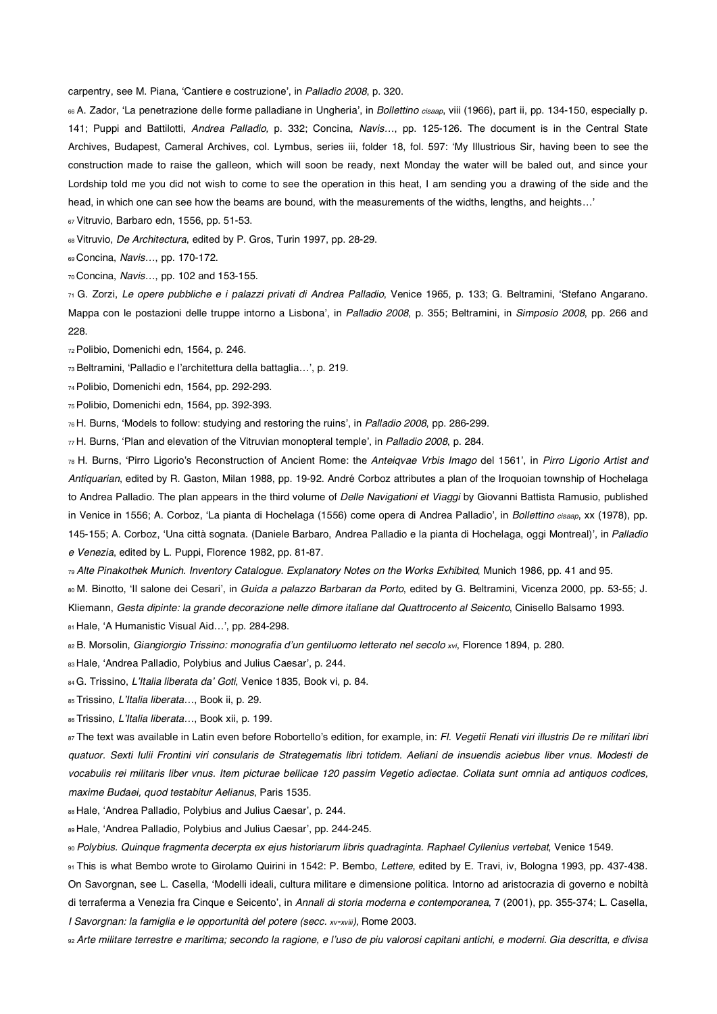carpentry, see M. Piana, 'Cantiere e costruzione', in *Palladio 2008*, p. 320.

<sup>66</sup> A. Zador, 'La penetrazione delle forme palladiane in Ungheria', in *Bollettino cisaap*, viii (1966), part ii, pp. 134-150, especially p. 141; Puppi and Battilotti, *Andrea Palladio,* p. 332; Concina, *Navis…*, pp. 125-126. The document is in the Central State Archives, Budapest, Cameral Archives, col. Lymbus, series iii, folder 18, fol. 597: My Illustrious Sir, having been to see the construction made to raise the galleon, which will soon be ready, next Monday the water will be baled out, and since your Lordship told me you did not wish to come to see the operation in this heat, I am sending you a drawing of the side and the head, in which one can see how the beams are bound, with the measurements of the widths, lengths, and heights…-

67 Vitruvio, Barbaro edn, 1556, pp. 51-53.

68 Vitruvio, *De Architectura*, edited by P. Gros, Turin 1997, pp. 28-29.

69 Concina, *Navis…*, pp. 170-172.

70 Concina, *Navis…*, pp. 102 and 153-155.

71 G. Zorzi, *Le opere pubbliche e i palazzi privati di Andrea Palladio*, Venice 1965, p. 133; G. Beltramini, Stefano Angarano. Mappa con le postazioni delle truppe intorno a Lisbona', in *Palladio 2008*, p. 355; Beltramini, in Simposio 2008, pp. 266 and 228.

72 Polibio, Domenichi edn, 1564, p. 246.

<sup>73</sup> Beltramini, 'Palladio e l'architettura della battaglia...', p. 219.

74 Polibio, Domenichi edn, 1564, pp. 292-293.

75 Polibio, Domenichi edn, 1564, pp. 392-393.

76 H. Burns, Models to follow: studying and restoring the ruins-, in *Palladio 2008*, pp. 286-299.

 $\pi$ H. Burns, 'Plan and elevation of the Vitruvian monopteral temple', in *Palladio 2008*, p. 284.

<sup>78</sup> H. Burns, 'Pirro Ligorio's Reconstruction of Ancient Rome: the *Anteiqvae Vrbis Imago* del 1561', in *Pirro Ligorio Artist and Antiquarian*, edited by R. Gaston, Milan 1988, pp. 19-92. André Corboz attributes a plan of the Iroquoian township of Hochelaga to Andrea Palladio. The plan appears in the third volume of *Delle Navigationi et Viaggi* by Giovanni Battista Ramusio, published in Venice in 1556; A. Corboz, 'La pianta di Hochelaga (1556) come opera di Andrea Palladio', in *Bollettino cisaap*, xx (1978), pp. 145-155; A. Corboz, 'Una città sognata. (Daniele Barbaro, Andrea Palladio e la pianta di Hochelaga, oggi Montreal)', in Palladio *e Venezia*, edited by L. Puppi, Florence 1982, pp. 81-87.

<sup>79</sup>*Alte Pinakothek Munich. Inventory Catalogue. Explanatory Notes on the Works Exhibited*, Munich 1986, pp. 41 and 95.

<sup>80</sup> M. Binotto, 'Il salone dei Cesari', in *Guida a palazzo Barbaran da Porto*, edited by G. Beltramini, Vicenza 2000, pp. 53-55; J. Kliemann, *Gesta dipinte: la grande decorazione nelle dimore italiane dal Quattrocento al Seicento*, Cinisello Balsamo 1993. 81 Hale, 'A Humanistic Visual Aid...', pp. 284-298.

82 B. Morsolin, *Giangiorgio Trissino: monografia dun gentiluomo letterato nel secolo xvi*, Florence 1894, p. 280.

83 Hale, 'Andrea Palladio, Polybius and Julius Caesar', p. 244.

84 G. Trissino, *LItalia liberata da Goti*, Venice 1835, Book vi, p. 84.

85 Trissino, *LItalia liberata…*, Book ii, p. 29.

86 Trissino, *LItalia liberata…*, Book xii, p. 199.

87 The text was available in Latin even before Robortello's edition, for example, in: *Fl. Vegetii Renati viri illustris De re militari libri quatuor. Sexti Iulii Frontini viri consularis de Strategematis libri totidem. Aeliani de insuendis aciebus liber vnus. Modesti de vocabulis rei militaris liber vnus. Item picturae bellicae 120 passim Vegetio adiectae. Collata sunt omnia ad antiquos codices, maxime Budaei, quod testabitur Aelianus*, Paris 1535.

88 Hale, 'Andrea Palladio, Polybius and Julius Caesar', p. 244.

89 Hale, 'Andrea Palladio, Polybius and Julius Caesar', pp. 244-245.

<sup>90</sup>*Polybius. Quinque fragmenta decerpta ex ejus historiarum libris quadraginta. Raphael Cyllenius vertebat*, Venice 1549.

91 This is what Bembo wrote to Girolamo Quirini in 1542: P. Bembo, *Lettere*, edited by E. Travi, iv, Bologna 1993, pp. 437-438. On Savorgnan, see L. Casella, Modelli ideali, cultura militare e dimensione politica. Intorno ad aristocrazia di governo e nobiltà di terraferma a Venezia fra Cinque e Seicento', in *Annali di storia moderna e contemporanea*, 7 (2001), pp. 355-374; L. Casella, *I Savorgnan: la famiglia e le opportunità del potere (secc. xv-xviii)*, Rome 2003.

92 *Arte militare terrestre e maritima; secondo la ragione, e luso de piu valorosi capitani antichi, e moderni. Gia descritta, e divisa*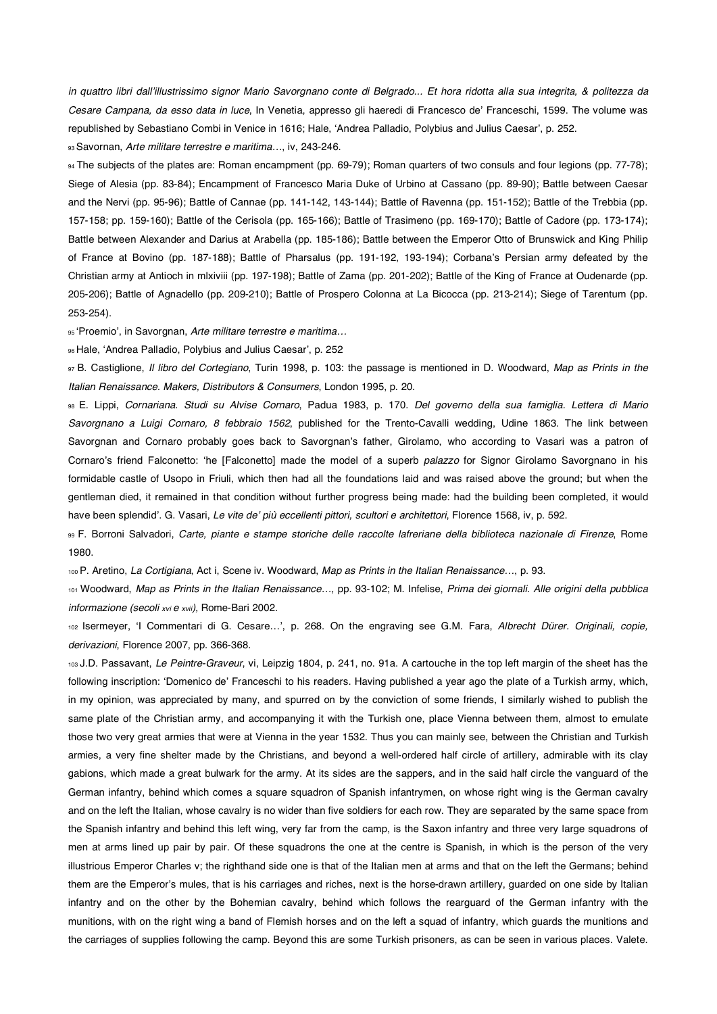in quattro libri dall'illustrissimo signor Mario Savorgnano conte di Belgrado... Et hora ridotta alla sua integrita, & politezza da Cesare Campana, da esso data in luce, In Venetia, appresso gli haeredi di Francesco de' Franceschi, 1599. The volume was republished by Sebastiano Combi in Venice in 1616; Hale, 'Andrea Palladio, Polybius and Julius Caesar', p. 252.

93 Savornan, *Arte militare terrestre e maritima…*, iv, 243-246.

94 The subjects of the plates are: Roman encampment (pp. 69-79); Roman quarters of two consuls and four legions (pp. 77-78); Siege of Alesia (pp. 83-84); Encampment of Francesco Maria Duke of Urbino at Cassano (pp. 89-90); Battle between Caesar and the Nervi (pp. 95-96); Battle of Cannae (pp. 141-142, 143-144); Battle of Ravenna (pp. 151-152); Battle of the Trebbia (pp. 157-158; pp. 159-160); Battle of the Cerisola (pp. 165-166); Battle of Trasimeno (pp. 169-170); Battle of Cadore (pp. 173-174); Battle between Alexander and Darius at Arabella (pp. 185-186); Battle between the Emperor Otto of Brunswick and King Philip of France at Bovino (pp. 187-188); Battle of Pharsalus (pp. 191-192, 193-194); Corbana's Persian army defeated by the Christian army at Antioch in mlxiviii (pp. 197-198); Battle of Zama (pp. 201-202); Battle of the King of France at Oudenarde (pp. 205-206); Battle of Agnadello (pp. 209-210); Battle of Prospero Colonna at La Bicocca (pp. 213-214); Siege of Tarentum (pp. 253-254).

95 Proemio-, in Savorgnan, *Arte militare terrestre e maritima…* 

96 Hale, 'Andrea Palladio, Polybius and Julius Caesar', p. 252

97 B. Castiglione, *Il libro del Cortegiano*, Turin 1998, p. 103: the passage is mentioned in D. Woodward, *Map as Prints in the Italian Renaissance. Makers, Distributors & Consumers*, London 1995, p. 20.

98 E. Lippi, *Cornariana. Studi su Alvise Cornaro*, Padua 1983, p. 170. *Del governo della sua famiglia. Lettera di Mario Savorgnano a Luigi Cornaro, 8 febbraio 1562*, published for the Trento-Cavalli wedding, Udine 1863. The link between Savorgnan and Cornaro probably goes back to Savorgnan's father, Girolamo, who according to Vasari was a patron of Cornaro's friend Falconetto: 'he [Falconetto] made the model of a superb *palazzo* for Signor Girolamo Savorgnano in his formidable castle of Usopo in Friuli, which then had all the foundations laid and was raised above the ground; but when the gentleman died, it remained in that condition without further progress being made: had the building been completed, it would have been splendid'. G. Vasari, *Le vite de' più eccellenti pittori, scultori e architettori*, Florence 1568, iv, p. 592.

99 F. Borroni Salvadori, *Carte, piante e stampe storiche delle raccolte lafreriane della biblioteca nazionale di Firenze*, Rome 1980.

100 P. Aretino, *La Cortigiana*, Act i, Scene iv. Woodward, *Map as Prints in the Italian Renaissance…*, p. 93.

101 Woodward, *Map as Prints in the Italian Renaissance…*, pp. 93-102; M. Infelise, *Prima dei giornali. Alle origini della pubblica informazione (secoli xvi e xvii),* Rome-Bari 2002.

102 Isermeyer, 'I Commentari di G. Cesare...', p. 268. On the engraving see G.M. Fara, Albrecht Dürer. Originali, copie, *derivazioni*, Florence 2007, pp. 366-368.

103 J.D. Passavant, *Le Peintre-Graveur*, vi, Leipzig 1804, p. 241, no. 91a. A cartouche in the top left margin of the sheet has the following inscription: 'Domenico de' Franceschi to his readers. Having published a year ago the plate of a Turkish army, which, in my opinion, was appreciated by many, and spurred on by the conviction of some friends, I similarly wished to publish the same plate of the Christian army, and accompanying it with the Turkish one, place Vienna between them, almost to emulate those two very great armies that were at Vienna in the year 1532. Thus you can mainly see, between the Christian and Turkish armies, a very fine shelter made by the Christians, and beyond a well-ordered half circle of artillery, admirable with its clay gabions, which made a great bulwark for the army. At its sides are the sappers, and in the said half circle the vanguard of the German infantry, behind which comes a square squadron of Spanish infantrymen, on whose right wing is the German cavalry and on the left the Italian, whose cavalry is no wider than five soldiers for each row. They are separated by the same space from the Spanish infantry and behind this left wing, very far from the camp, is the Saxon infantry and three very large squadrons of men at arms lined up pair by pair. Of these squadrons the one at the centre is Spanish, in which is the person of the very illustrious Emperor Charles v; the righthand side one is that of the Italian men at arms and that on the left the Germans; behind them are the Emperor's mules, that is his carriages and riches, next is the horse-drawn artillery, guarded on one side by Italian infantry and on the other by the Bohemian cavalry, behind which follows the rearguard of the German infantry with the munitions, with on the right wing a band of Flemish horses and on the left a squad of infantry, which guards the munitions and the carriages of supplies following the camp. Beyond this are some Turkish prisoners, as can be seen in various places. Valete.